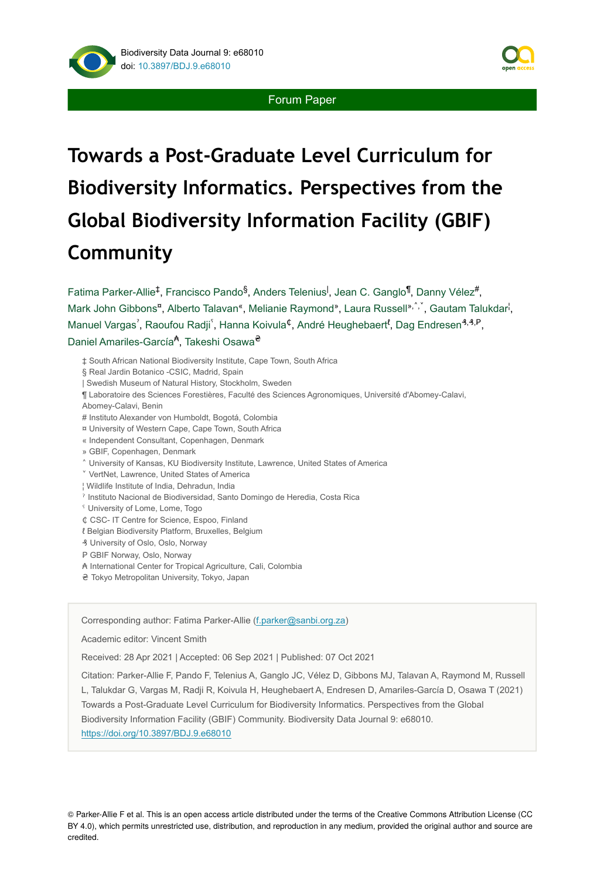



Forum Paper

# **Towards a Post-Graduate Level Curriculum for Biodiversity Informatics. Perspectives from the Global Biodiversity Information Facility (GBIF) Community**

Fatima Parker-Allie<sup>‡</sup>, Francisco Pando<sup>§</sup>, Anders Telenius<sup>I</sup>, Jean C. Ganglo<sup>¶</sup>, Danny Vélez<sup>#</sup>, Mark John Gibbons<sup>a</sup>, Alberto Talavan<sup>«</sup>, Melianie Raymond<sup>»</sup>, Laura Russell<sup>», `</sup>, Gautam Talukdar<sup>i</sup>, Manuel Vargas<sup>'</sup>, Raoufou Radji<sup>'</sup>, Hanna Koivula<sup>¢</sup>, André Heughebaert<sup>{</sup>, Dag Endresen<sup>3,3,P</sup>, Daniel Amariles-García<sup><del>A</del></sup>, Takeshi Osawa<sup>2</sup>

‡ South African National Biodiversity Institute, Cape Town, South Africa § Real Jardin Botanico -CSIC, Madrid, Spain | Swedish Museum of Natural History, Stockholm, Sweden ¶ Laboratoire des Sciences Forestières, Faculté des Sciences Agronomiques, Université d'Abomey-Calavi, Abomey-Calavi, Benin # Instituto Alexander von Humboldt, Bogotá, Colombia ¤ University of Western Cape, Cape Town, South Africa « Independent Consultant, Copenhagen, Denmark » GBIF, Copenhagen, Denmark ˄ University of Kansas, KU Biodiversity Institute, Lawrence, United States of America ˅ VertNet, Lawrence, United States of America ¦ Wildlife Institute of India, Dehradun, India ˀ Instituto Nacional de Biodiversidad, Santo Domingo de Heredia, Costa Rica ˁ University of Lome, Lome, Togo ₵ CSC- IT Centre for Science, Espoo, Finland ℓ Belgian Biodiversity Platform, Bruxelles, Belgium ₰ University of Oslo, Oslo, Norway P GBIF Norway, Oslo, Norway ₳ International Center for Tropical Agriculture, Cali, Colombia ₴ Tokyo Metropolitan University, Tokyo, Japan

Corresponding author: Fatima Parker-Allie [\(f.parker@sanbi.org.za](mailto:f.parker@sanbi.org.za))

Academic editor: Vincent Smith

Received: 28 Apr 2021 | Accepted: 06 Sep 2021 | Published: 07 Oct 2021

Citation: Parker-Allie F, Pando F, Telenius A, Ganglo JC, Vélez D, Gibbons MJ, Talavan A, Raymond M, Russell L, Talukdar G, Vargas M, Radji R, Koivula H, Heughebaert A, Endresen D, Amariles-García D, Osawa T (2021) Towards a Post-Graduate Level Curriculum for Biodiversity Informatics. Perspectives from the Global Biodiversity Information Facility (GBIF) Community. Biodiversity Data Journal 9: e68010. <https://doi.org/10.3897/BDJ.9.e68010>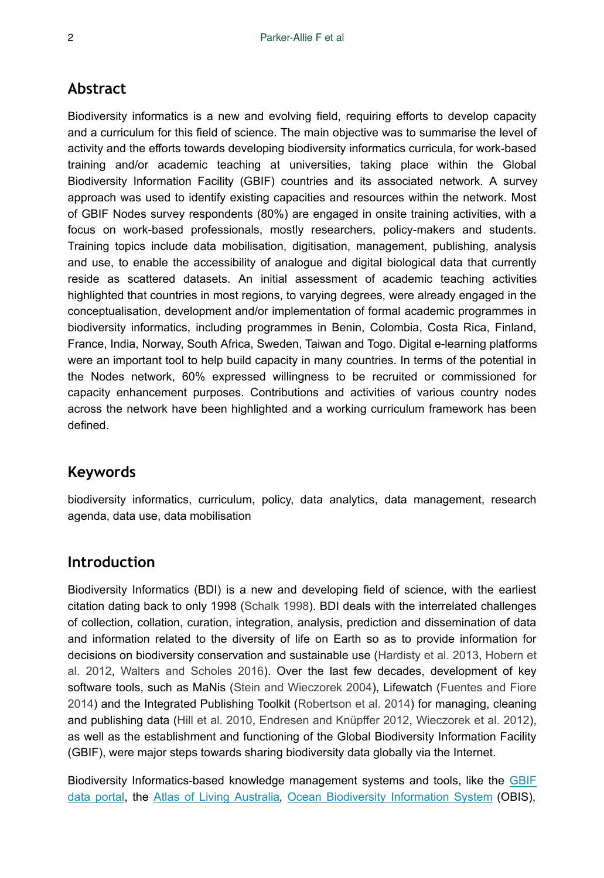## **Abstract**

Biodiversity informatics is a new and evolving field, requiring efforts to develop capacity and a curriculum for this field of science. The main objective was to summarise the level of activity and the efforts towards developing biodiversity informatics curricula, for work-based training and/or academic teaching at universities, taking place within the Global Biodiversity Information Facility (GBIF) countries and its associated network. A survey approach was used to identify existing capacities and resources within the network. Most of GBIF Nodes survey respondents (80%) are engaged in onsite training activities, with a focus on work-based professionals, mostly researchers, policy-makers and students. Training topics include data mobilisation, digitisation, management, publishing, analysis and use, to enable the accessibility of analogue and digital biological data that currently reside as scattered datasets. An initial assessment of academic teaching activities highlighted that countries in most regions, to varying degrees, were already engaged in the conceptualisation, development and/or implementation of formal academic programmes in biodiversity informatics, including programmes in Benin, Colombia, Costa Rica, Finland, France, India, Norway, South Africa, Sweden, Taiwan and Togo. Digital e-learning platforms were an important tool to help build capacity in many countries. In terms of the potential in the Nodes network, 60% expressed willingness to be recruited or commissioned for capacity enhancement purposes. Contributions and activities of various country nodes across the network have been highlighted and a working curriculum framework has been defined.

## **Keywords**

biodiversity informatics, curriculum, policy, data analytics, data management, research agenda, data use, data mobilisation

## **Introduction**

Biodiversity Informatics (BDI) is a new and developing field of science, with the earliest citation dating back to only 1998 [\(Schalk 1998](#page-23-0)). BDI deals with the interrelated challenges of collection, collation, curation, integration, analysis, prediction and dissemination of data and information related to the diversity of life on Earth so as to provide information for decisions on biodiversity conservation and sustainable use ([Hardisty et al. 2013](#page-22-0), [Hobern et](#page-22-1) [al. 2012](#page-22-1), [Walters and Scholes 2016](#page-23-1)). Over the last few decades, development of key software tools, such as MaNis ([Stein and Wieczorek 2004\)](#page-23-2), Lifewatch ([Fuentes and Fiore](#page-21-0) [2014](#page-21-0)) and the Integrated Publishing Toolkit ([Robertson et al. 2014\)](#page-23-3) for managing, cleaning and publishing data [\(Hill et al. 2010](#page-22-2), [Endresen and Knüpffer 2012,](#page-20-0) [Wieczorek et al. 2012\)](#page-23-4), as well as the establishment and functioning of the Global Biodiversity Information Facility (GBIF), were major steps towards sharing biodiversity data globally via the Internet.

Biodiversity Informatics-based knowledge management systems and tools, like the [GBIF](https://www.gbif.org/) [data portal](https://www.gbif.org/), the [Atlas of Living Australia](https://www.ala.org.au/), [Ocean Biodiversity Information System](https://obis.org/) (OBIS),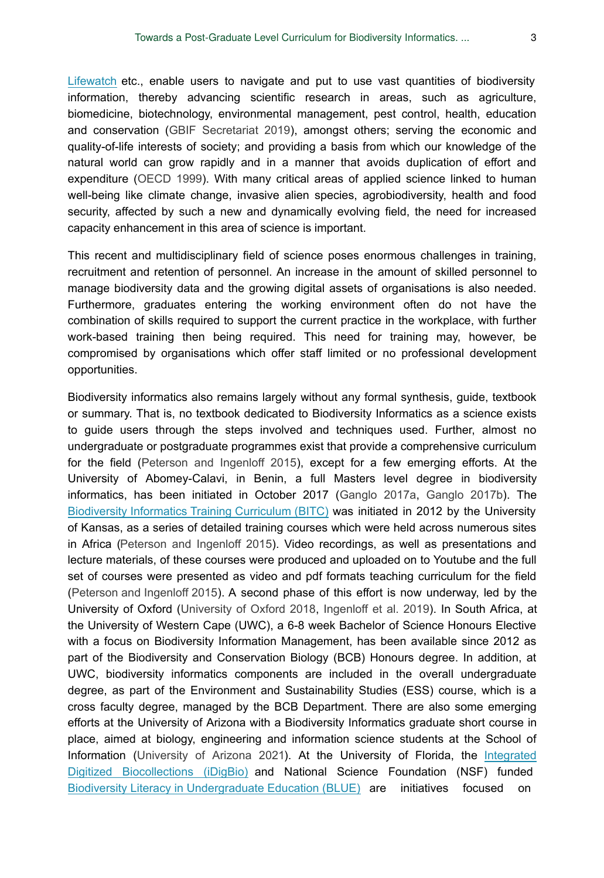[Lifewatch](https://www.lifewatch.eu/) etc., enable users to navigate and put to use vast quantities of biodiversity information, thereby advancing scientific research in areas, such as agriculture, biomedicine, biotechnology, environmental management, pest control, health, education and conservation ([GBIF Secretariat 2019\)](#page-22-3), amongst others; serving the economic and quality-of-life interests of society; and providing a basis from which our knowledge of the natural world can grow rapidly and in a manner that avoids duplication of effort and expenditure [\(OECD 1999](#page-22-4)). With many critical areas of applied science linked to human well-being like climate change, invasive alien species, agrobiodiversity, health and food security, affected by such a new and dynamically evolving field, the need for increased capacity enhancement in this area of science is important.

This recent and multidisciplinary field of science poses enormous challenges in training, recruitment and retention of personnel. An increase in the amount of skilled personnel to manage biodiversity data and the growing digital assets of organisations is also needed. Furthermore, graduates entering the working environment often do not have the combination of skills required to support the current practice in the workplace, with further work-based training then being required. This need for training may, however, be compromised by organisations which offer staff limited or no professional development opportunities.

Biodiversity informatics also remains largely without any formal synthesis, guide, textbook or summary. That is, no textbook dedicated to Biodiversity Informatics as a science exists to guide users through the steps involved and techniques used. Further, almost no undergraduate or postgraduate programmes exist that provide a comprehensive curriculum for the field ([Peterson and Ingenloff 2015\)](#page-23-5), except for a few emerging efforts. At the University of Abomey-Calavi, in Benin, a full Masters level degree in biodiversity informatics, has been initiated in October 2017 ([Ganglo 2017a](#page-21-1), [Ganglo 2017b](#page-21-2)). The [Biodiversity Informatics Training Curriculum \(BITC\)](http://biodiversity-informatics-training.org/) was initiated in 2012 by the University of Kansas, as a series of detailed training courses which were held across numerous sites in Africa [\(Peterson and Ingenloff 2015\)](#page-23-5). Video recordings, as well as presentations and lecture materials, of these courses were produced and uploaded on to Youtube and the full set of courses were presented as video and pdf formats teaching curriculum for the field [\(Peterson and Ingenloff 2015](#page-23-5)). A second phase of this effort is now underway, led by the University of Oxford ([University of Oxford 2018](#page-23-6), [Ingenloff et al. 2019](#page-22-5)). In South Africa, at the University of Western Cape (UWC), a 6-8 week Bachelor of Science Honours Elective with a focus on Biodiversity Information Management, has been available since 2012 as part of the Biodiversity and Conservation Biology (BCB) Honours degree. In addition, at UWC, biodiversity informatics components are included in the overall undergraduate degree, as part of the Environment and Sustainability Studies (ESS) course, which is a cross faculty degree, managed by the BCB Department. There are also some emerging efforts at the University of Arizona with a Biodiversity Informatics graduate short course in place, aimed at biology, engineering and information science students at the School of Information [\(University of Arizona 2021\)](#page-23-7). At the University of Florida, the [Integrated](https://www.idigbio.org/education) [Digitized Biocollections \(iDigBio\)](https://www.idigbio.org/education) and National Science Foundation (NSF) funded [Biodiversity Literacy in Undergraduate Education \(BLUE\)](https://www.biodiversityliteracy.com/) are initiatives focused on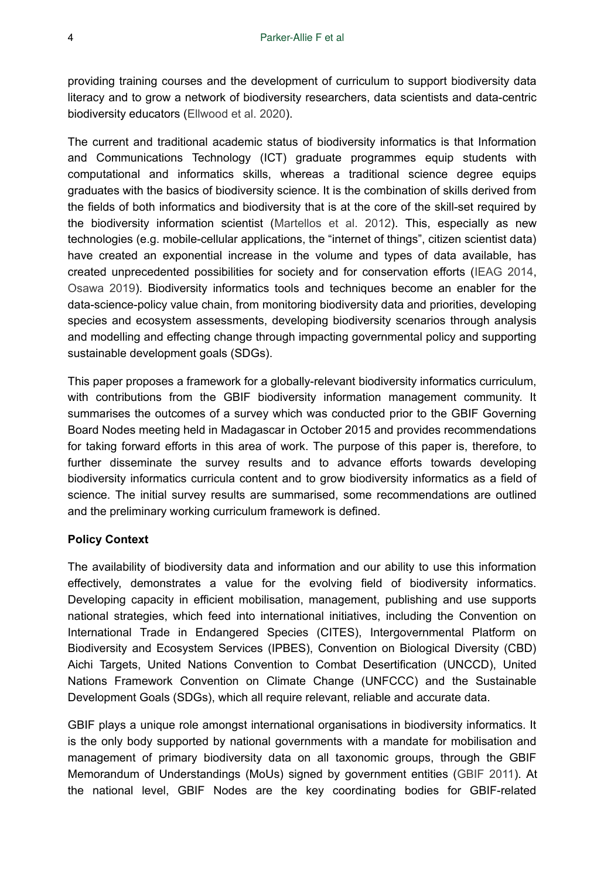providing training courses and the development of curriculum to support biodiversity data literacy and to grow a network of biodiversity researchers, data scientists and data-centric biodiversity educators ([Ellwood et al. 2020](#page-20-1)).

The current and traditional academic status of biodiversity informatics is that Information and Communications Technology (ICT) graduate programmes equip students with computational and informatics skills, whereas a traditional science degree equips graduates with the basics of biodiversity science. It is the combination of skills derived from the fields of both informatics and biodiversity that is at the core of the skill-set required by the biodiversity information scientist [\(Martellos et al. 2012\)](#page-22-6). This, especially as new technologies (e.g. mobile-cellular applications, the "internet of things", citizen scientist data) have created an exponential increase in the volume and types of data available, has created unprecedented possibilities for society and for conservation efforts [\(IEAG 2014,](#page-22-7) [Osawa 2019\)](#page-23-8). Biodiversity informatics tools and techniques become an enabler for the data-science-policy value chain, from monitoring biodiversity data and priorities, developing species and ecosystem assessments, developing biodiversity scenarios through analysis and modelling and effecting change through impacting governmental policy and supporting sustainable development goals (SDGs).

This paper proposes a framework for a globally-relevant biodiversity informatics curriculum, with contributions from the GBIF biodiversity information management community. It summarises the outcomes of a survey which was conducted prior to the GBIF Governing Board Nodes meeting held in Madagascar in October 2015 and provides recommendations for taking forward efforts in this area of work. The purpose of this paper is, therefore, to further disseminate the survey results and to advance efforts towards developing biodiversity informatics curricula content and to grow biodiversity informatics as a field of science. The initial survey results are summarised, some recommendations are outlined and the preliminary working curriculum framework is defined.

#### **Policy Context**

The availability of biodiversity data and information and our ability to use this information effectively, demonstrates a value for the evolving field of biodiversity informatics. Developing capacity in efficient mobilisation, management, publishing and use supports national strategies, which feed into international initiatives, including the Convention on International Trade in Endangered Species (CITES), Intergovernmental Platform on Biodiversity and Ecosystem Services (IPBES), Convention on Biological Diversity (CBD) Aichi Targets, United Nations Convention to Combat Desertification (UNCCD), United Nations Framework Convention on Climate Change (UNFCCC) and the Sustainable Development Goals (SDGs), which all require relevant, reliable and accurate data.

GBIF plays a unique role amongst international organisations in biodiversity informatics. It is the only body supported by national governments with a mandate for mobilisation and management of primary biodiversity data on all taxonomic groups, through the GBIF Memorandum of Understandings (MoUs) signed by government entities ([GBIF 2011\)](#page-21-3). At the national level, GBIF Nodes are the key coordinating bodies for GBIF-related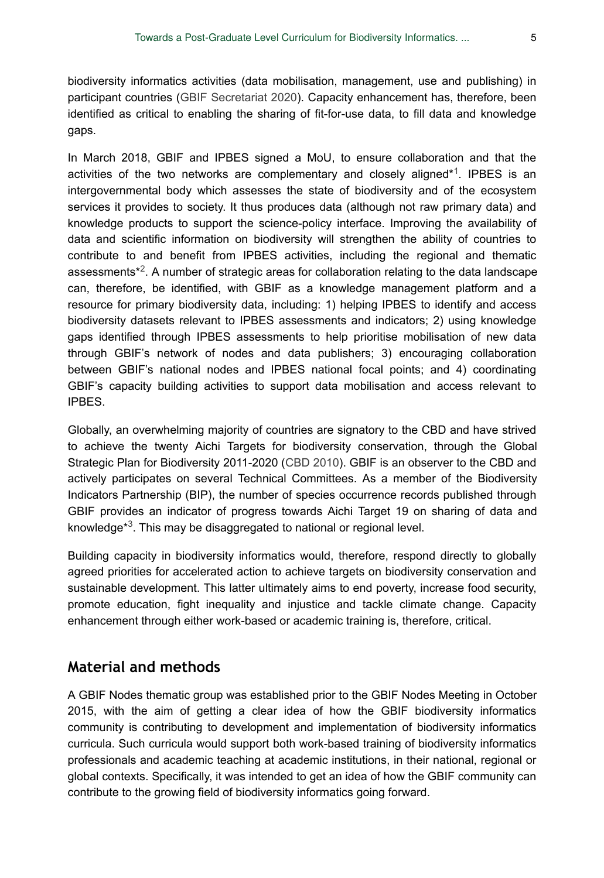biodiversity informatics activities (data mobilisation, management, use and publishing) in participant countries [\(GBIF Secretariat 2020\)](#page-22-8). Capacity enhancement has, therefore, been identified as critical to enabling the sharing of fit-for-use data, to fill data and knowledge gaps.

In March 2018, GBIF and IPBES signed a MoU, to ensure collaboration and that the activities of the two networks are complementary and closely aligned\*1. IPBES is an intergovernmental body which assesses the state of biodiversity and of the ecosystem services it provides to society. It thus produces data (although not raw primary data) and knowledge products to support the science-policy interface. Improving the availability of data and scientific information on biodiversity will strengthen the ability of countries to contribute to and benefit from IPBES activities, including the regional and thematic assessments $*^2$  $*^2$ . A number of strategic areas for collaboration relating to the data landscape can, therefore, be identified, with GBIF as a knowledge management platform and a resource for primary biodiversity data, including: 1) helping IPBES to identify and access biodiversity datasets relevant to IPBES assessments and indicators; 2) using knowledge gaps identified through IPBES assessments to help prioritise mobilisation of new data through GBIF's network of nodes and data publishers; 3) encouraging collaboration between GBIF's national nodes and IPBES national focal points; and 4) coordinating GBIF's capacity building activities to support data mobilisation and access relevant to IPBES.

Globally, an overwhelming majority of countries are signatory to the CBD and have strived to achieve the twenty Aichi Targets for biodiversity conservation, through the Global Strategic Plan for Biodiversity 2011-2020 ([CBD 2010](#page-20-2)). GBIF is an observer to the CBD and actively participates on several Technical Committees. As a member of the Biodiversity Indicators Partnership (BIP), the number of species occurrence records published through GBIF provides an indicator of progress towards Aichi Target 19 on sharing of data and knowledge<sup>\*3</sup>. This may be disaggregated to national or regional level.

Building capacity in biodiversity informatics would, therefore, respond directly to globally agreed priorities for accelerated action to achieve targets on biodiversity conservation and sustainable development. This latter ultimately aims to end poverty, increase food security, promote education, fight inequality and injustice and tackle climate change. Capacity enhancement through either work-based or academic training is, therefore, critical.

## **Material and methods**

A GBIF Nodes thematic group was established prior to the GBIF Nodes Meeting in October 2015, with the aim of getting a clear idea of how the GBIF biodiversity informatics community is contributing to development and implementation of biodiversity informatics curricula. Such curricula would support both work-based training of biodiversity informatics professionals and academic teaching at academic institutions, in their national, regional or global contexts. Specifically, it was intended to get an idea of how the GBIF community can contribute to the growing field of biodiversity informatics going forward.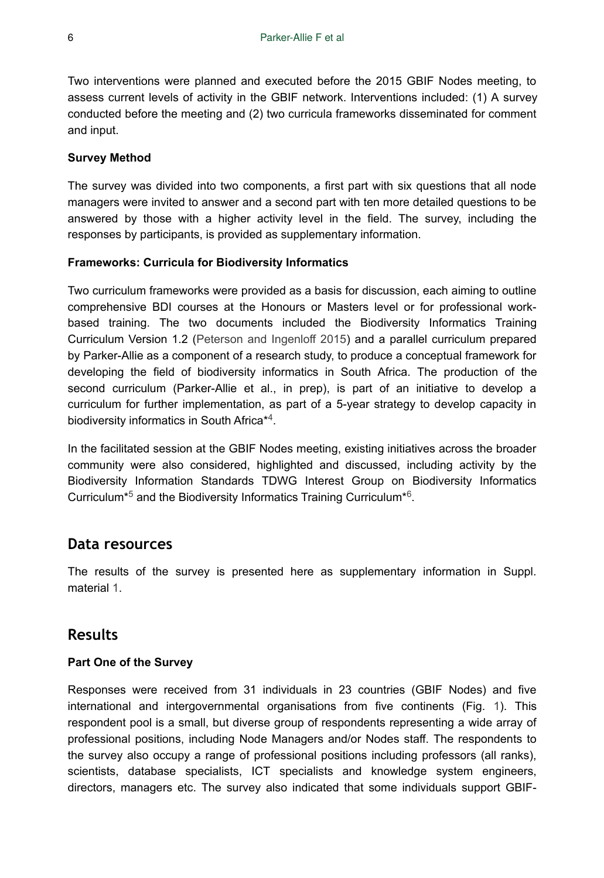Two interventions were planned and executed before the 2015 GBIF Nodes meeting, to assess current levels of activity in the GBIF network. Interventions included: (1) A survey conducted before the meeting and (2) two curricula frameworks disseminated for comment and input.

#### **Survey Method**

The survey was divided into two components, a first part with six questions that all node managers were invited to answer and a second part with ten more detailed questions to be answered by those with a higher activity level in the field. The survey, including the responses by participants, is provided as supplementary information.

#### **Frameworks: Curricula for Biodiversity Informatics**

Two curriculum frameworks were provided as a basis for discussion, each aiming to outline comprehensive BDI courses at the Honours or Masters level or for professional workbased training. The two documents included the Biodiversity Informatics Training Curriculum Version 1.2 ([Peterson and Ingenloff 2015](#page-23-5)) and a parallel curriculum prepared by Parker-Allie as a component of a research study, to produce a conceptual framework for developing the field of biodiversity informatics in South Africa. The production of the second curriculum (Parker-Allie et al., in prep), is part of an initiative to develop a curriculum for further implementation, as part of a 5-year strategy to develop capacity in biodiversity informatics in South Africa\*<sup>4</sup>.

In the facilitated session at the GBIF Nodes meeting, existing initiatives across the broader community were also considered, highlighted and discussed, including activity by the Biodiversity Information Standards TDWG Interest Group on Biodiversity Informatics Curriculum<sup>[\\*](#page-24-4)5</sup> and the Biodiversity Informatics Training Curriculum<sup>\*6</sup>.

## **Data resources**

The results of the survey is presented here as supplementary information in Suppl. material [1.](#page-24-6)

# **Results**

## **Part One of the Survey**

Responses were received from 31 individuals in 23 countries (GBIF Nodes) and five international and intergovernmental organisations from five continents (Fig. [1\)](#page-6-0). This respondent pool is a small, but diverse group of respondents representing a wide array of professional positions, including Node Managers and/or Nodes staff. The respondents to the survey also occupy a range of professional positions including professors (all ranks), scientists, database specialists, ICT specialists and knowledge system engineers, directors, managers etc. The survey also indicated that some individuals support GBIF-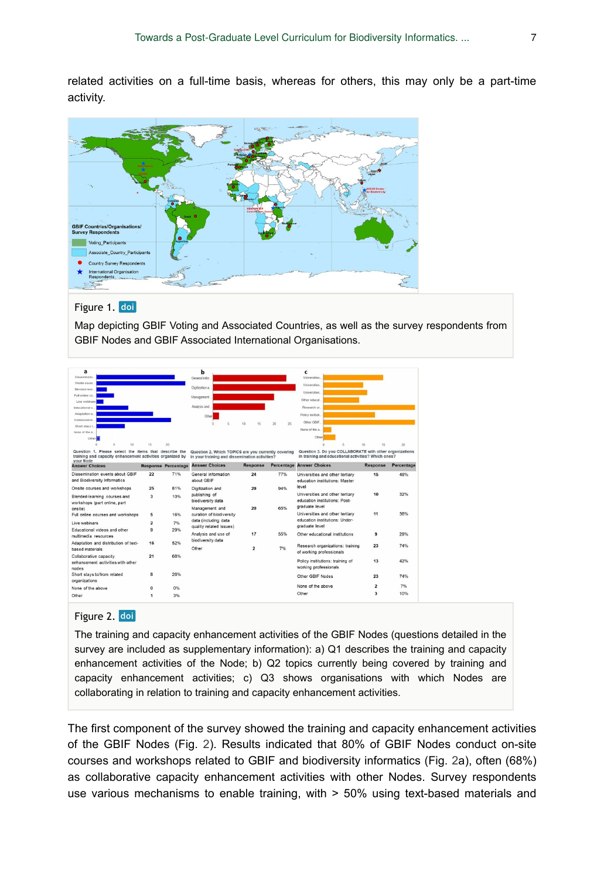related activities on a full-time basis, whereas for others, this may only be a part-time activity.

<span id="page-6-0"></span>

## Figure 1. doi

Map depicting GBIF Voting and Associated Countries, as well as the survey respondents from GBIF Nodes and GBIF Associated International Organisations.

<span id="page-6-1"></span>

| a                                                                                                                     |                         |                                                                                                                                 | b                                          |                |                                                                                                       | c                                                                 |                         |                                                                                                                |    |          |            |  |  |                |          |    |
|-----------------------------------------------------------------------------------------------------------------------|-------------------------|---------------------------------------------------------------------------------------------------------------------------------|--------------------------------------------|----------------|-------------------------------------------------------------------------------------------------------|-------------------------------------------------------------------|-------------------------|----------------------------------------------------------------------------------------------------------------|----|----------|------------|--|--|----------------|----------|----|
| Disserrinatio.                                                                                                        |                         | General infor                                                                                                                   |                                            |                | Universities                                                                                          |                                                                   |                         |                                                                                                                |    |          |            |  |  |                |          |    |
| Onsite cours.                                                                                                         |                         | Digitization a.                                                                                                                 |                                            |                | Universities.                                                                                         |                                                                   |                         |                                                                                                                |    |          |            |  |  |                |          |    |
| Blended-lear<br>Full online co.<br>Live webinary<br>Educational v.<br>Adaptation a.<br>Collaborative<br>Short stays t |                         | Management.<br>Analysis and.<br>Other                                                                                           |                                            |                | Universities.<br>Other educat<br>Research or.<br>Policy instituti.                                    |                                                                   |                         |                                                                                                                |    |          |            |  |  |                |          |    |
|                                                                                                                       |                         |                                                                                                                                 |                                            |                |                                                                                                       |                                                                   |                         | $\theta$                                                                                                       | 15 | 26<br>20 | Other GBIF |  |  |                |          |    |
|                                                                                                                       |                         |                                                                                                                                 |                                            |                |                                                                                                       |                                                                   |                         | None of the a                                                                                                  |    |          |            |  |  | None of the a. |          |    |
|                                                                                                                       |                         |                                                                                                                                 |                                            |                |                                                                                                       |                                                                   |                         | Other                                                                                                          |    |          |            |  |  | Other          |          |    |
|                                                                                                                       |                         |                                                                                                                                 |                                            |                |                                                                                                       |                                                                   |                         | 10                                                                                                             | 15 | 20       |            |  |  | r.<br>$\alpha$ | 10<br>15 | 20 |
|                                                                                                                       |                         | Question 1. Please select the items that describe the<br>training and capacity enhancement activities organized by<br>your Node |                                            |                | Question 2. Which TOPICS are you currently covering<br>in your training and dissemination activities? |                                                                   |                         | Question 3. Do you COLLABORATE with other organizations<br>in training and educational activities? Which ones? |    |          |            |  |  |                |          |    |
| <b>Answer Choices</b>                                                                                                 |                         | <b>Response Percentage</b>                                                                                                      | <b>Answer Choices</b>                      | Response       |                                                                                                       | <b>Percentage Answer Choices</b>                                  | Response                | Percentage                                                                                                     |    |          |            |  |  |                |          |    |
| Dissemination events about GBIF<br>and Biodiversity Informatics                                                       | 22                      | 71%                                                                                                                             | General information<br>about GBIF          | 24             | 77%                                                                                                   | Universities and other tertiary<br>education institutions: Master | 15                      | 48%                                                                                                            |    |          |            |  |  |                |          |    |
| Onsite courses and workshops                                                                                          | 25                      | 81%                                                                                                                             | Digitization and                           | 29             | 94%                                                                                                   | level                                                             |                         |                                                                                                                |    |          |            |  |  |                |          |    |
| Blended-learning courses and                                                                                          | $\overline{\mathbf{3}}$ | 10%                                                                                                                             | publishing of<br>biodiversity data         |                |                                                                                                       | Universities and other tertiary<br>education institutions: Post-  | 10                      | 32%                                                                                                            |    |          |            |  |  |                |          |    |
| workshops (part online, part                                                                                          |                         |                                                                                                                                 |                                            | 20             | 65%                                                                                                   | graduate level                                                    |                         |                                                                                                                |    |          |            |  |  |                |          |    |
| onsite)                                                                                                               |                         | 16%                                                                                                                             | Management and<br>curation of biodiversity |                |                                                                                                       | Universities and other tertiary                                   | 11                      | 36%                                                                                                            |    |          |            |  |  |                |          |    |
| Full online courses and workshops                                                                                     | 5                       |                                                                                                                                 | data (including data                       |                |                                                                                                       | education institutions: Under-                                    |                         |                                                                                                                |    |          |            |  |  |                |          |    |
| Live webinars                                                                                                         | $\overline{\mathbf{2}}$ | 7%                                                                                                                              | quality related issues)                    |                |                                                                                                       | graduate level                                                    |                         |                                                                                                                |    |          |            |  |  |                |          |    |
| Educational videos and other<br>multimedia resources                                                                  | $\mathbf{9}$            | 29%                                                                                                                             | Analysis and use of                        | 17             | 55%                                                                                                   | Other educational institutions                                    | $\overline{9}$          | 29%                                                                                                            |    |          |            |  |  |                |          |    |
| Adaptation and distribution of text-                                                                                  | 16                      | 52%                                                                                                                             | biodiversity data                          | $\overline{2}$ |                                                                                                       |                                                                   | 23                      | 74%                                                                                                            |    |          |            |  |  |                |          |    |
| based materials                                                                                                       |                         |                                                                                                                                 | Other                                      |                | 7%                                                                                                    | Research organizations: training<br>of working professionals      |                         |                                                                                                                |    |          |            |  |  |                |          |    |
| Collaborative capacity                                                                                                | 21                      | 68%                                                                                                                             |                                            |                |                                                                                                       |                                                                   |                         |                                                                                                                |    |          |            |  |  |                |          |    |
| enhancement activities with other<br>nodes                                                                            |                         |                                                                                                                                 |                                            |                |                                                                                                       | Policy institutions: training of<br>working professionals         | 13                      | 42%                                                                                                            |    |          |            |  |  |                |          |    |
| Short stays to/from related<br>organizations                                                                          | 8                       | 26%                                                                                                                             |                                            |                |                                                                                                       | Other GBIF Nodes                                                  | 23                      | 74%                                                                                                            |    |          |            |  |  |                |          |    |
| None of the above                                                                                                     | $\Omega$                | 0%                                                                                                                              |                                            |                |                                                                                                       | None of the above                                                 | $\overline{\mathbf{2}}$ | 7%                                                                                                             |    |          |            |  |  |                |          |    |
| Other                                                                                                                 |                         | 3%                                                                                                                              |                                            |                |                                                                                                       | Other                                                             | $\overline{\mathbf{3}}$ | 10%                                                                                                            |    |          |            |  |  |                |          |    |

#### Figure 2. doi

The training and capacity enhancement activities of the GBIF Nodes (questions detailed in the survey are included as supplementary information): a) Q1 describes the training and capacity enhancement activities of the Node; b) Q2 topics currently being covered by training and capacity enhancement activities; c) Q3 shows organisations with which Nodes are collaborating in relation to training and capacity enhancement activities.

The first component of the survey showed the training and capacity enhancement activities of the GBIF Nodes (Fig. [2](#page-6-1)). Results indicated that 80% of GBIF Nodes conduct on-site courses and workshops related to GBIF and biodiversity informatics (Fig. [2a](#page-6-1)), often (68%) as collaborative capacity enhancement activities with other Nodes. Survey respondents use various mechanisms to enable training, with > 50% using text-based materials and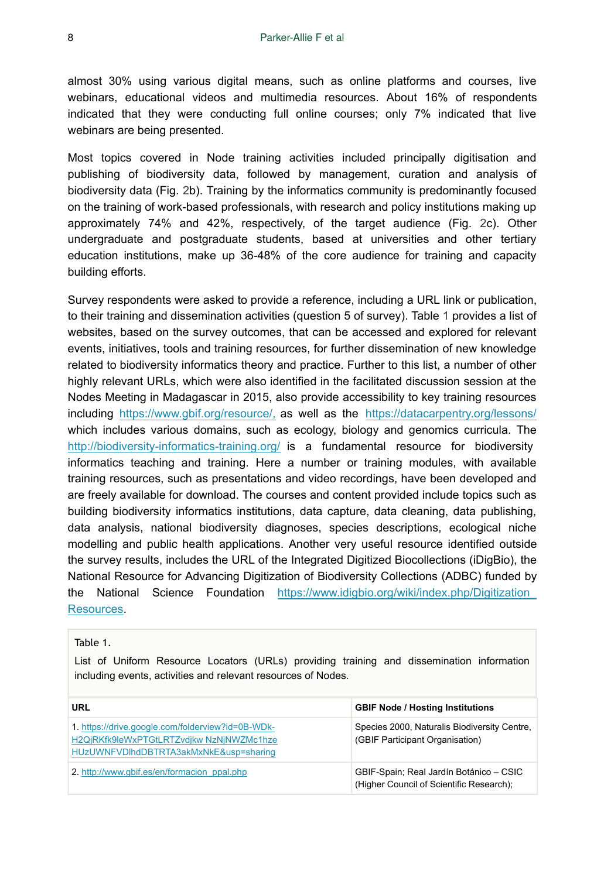almost 30% using various digital means, such as online platforms and courses, live webinars, educational videos and multimedia resources. About 16% of respondents indicated that they were conducting full online courses; only 7% indicated that live webinars are being presented.

Most topics covered in Node training activities included principally digitisation and publishing of biodiversity data, followed by management, curation and analysis of biodiversity data (Fig. [2](#page-6-1)b). Training by the informatics community is predominantly focused on the training of work-based professionals, with research and policy institutions making up approximately 74% and 42%, respectively, of the target audience (Fig. [2c](#page-6-1)). Other undergraduate and postgraduate students, based at universities and other tertiary education institutions, make up 36-48% of the core audience for training and capacity building efforts.

Survey respondents were asked to provide a reference, including a URL link or publication, to their training and dissemination activities (question 5 of survey). Table [1](#page-7-0) provides a list of websites, based on the survey outcomes, that can be accessed and explored for relevant events, initiatives, tools and training resources, for further dissemination of new knowledge related to biodiversity informatics theory and practice. Further to this list, a number of other highly relevant URLs, which were also identified in the facilitated discussion session at the Nodes Meeting in Madagascar in 2015, also provide accessibility to key training resources including [https://www.gbif.org/resource/,](https://www.gbif.org/resource/search) as well as the <https://datacarpentry.org/lessons/> which includes various domains, such as ecology, biology and genomics curricula. The <http://biodiversity-informatics-training.org/> is a fundamental resource for biodiversity informatics teaching and training. Here a number or training modules, with available training resources, such as presentations and video recordings, have been developed and are freely available for download. The courses and content provided include topics such as building biodiversity informatics institutions, data capture, data cleaning, data publishing, data analysis, national biodiversity diagnoses, species descriptions, ecological niche modelling and public health applications. Another very useful resource identified outside the survey results, includes the URL of the Integrated Digitized Biocollections (iDigBio), the National Resource for Advancing Digitization of Biodiversity Collections (ADBC) funded by the National Science Foundation [https://www.idigbio.org/wiki/index.php/Digitization\\_](https://www.idigbio.org/wiki/index.php/Digitization_Resources) [Resources](https://www.idigbio.org/wiki/index.php/Digitization_Resources).

#### <span id="page-7-0"></span>Table 1.

List of Uniform Resource Locators (URLs) providing training and dissemination information including events, activities and relevant resources of Nodes.

| URL                                                                                                                                     | <b>GBIF Node / Hosting Institutions</b>                                             |
|-----------------------------------------------------------------------------------------------------------------------------------------|-------------------------------------------------------------------------------------|
| 1. https://drive.google.com/folderview?id=0B-WDk-<br>H2QjRKfk9leWxPTGtLRTZvdjkw NzNjNWZMc1hze<br>HUzUWNFVDIhdDBTRTA3akMxNkE&usp=sharing | Species 2000, Naturalis Biodiversity Centre,<br>(GBIF Participant Organisation)     |
| 2. http://www.gbif.es/en/formacion_ppal.php                                                                                             | GBIF-Spain; Real Jardín Botánico - CSIC<br>(Higher Council of Scientific Research); |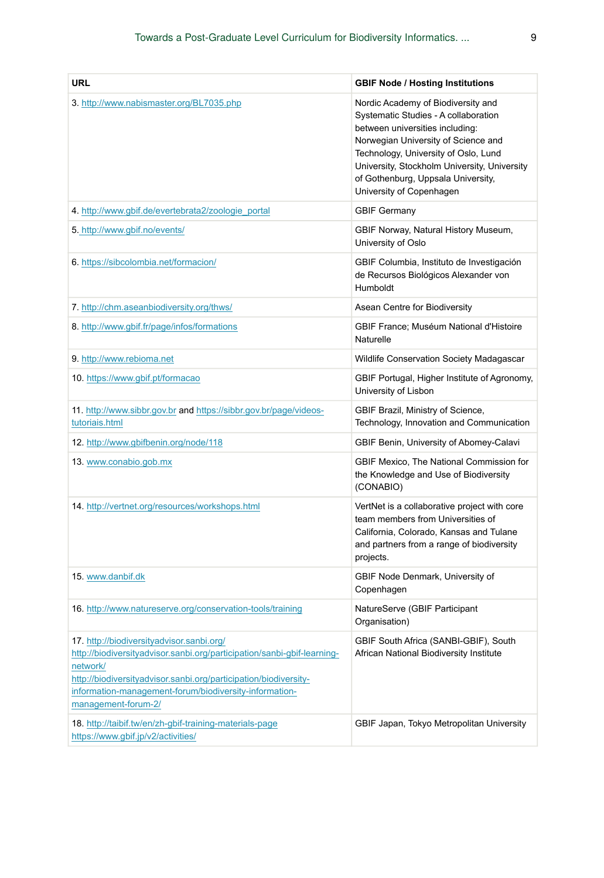| <b>URL</b>                                                                                                                                                                                                                                                                                                                                       | <b>GBIF Node / Hosting Institutions</b>                                                                                                                                                                                                                                                                        |
|--------------------------------------------------------------------------------------------------------------------------------------------------------------------------------------------------------------------------------------------------------------------------------------------------------------------------------------------------|----------------------------------------------------------------------------------------------------------------------------------------------------------------------------------------------------------------------------------------------------------------------------------------------------------------|
| 3. http://www.nabismaster.org/BL7035.php                                                                                                                                                                                                                                                                                                         | Nordic Academy of Biodiversity and<br>Systematic Studies - A collaboration<br>between universities including:<br>Norwegian University of Science and<br>Technology, University of Oslo, Lund<br>University, Stockholm University, University<br>of Gothenburg, Uppsala University,<br>University of Copenhagen |
| 4. http://www.gbif.de/evertebrata2/zoologie portal                                                                                                                                                                                                                                                                                               | <b>GBIF Germany</b>                                                                                                                                                                                                                                                                                            |
| 5. http://www.gbif.no/events/                                                                                                                                                                                                                                                                                                                    | GBIF Norway, Natural History Museum,<br>University of Oslo                                                                                                                                                                                                                                                     |
| 6. https://sibcolombia.net/formacion/                                                                                                                                                                                                                                                                                                            | GBIF Columbia, Instituto de Investigación<br>de Recursos Biológicos Alexander von<br><b>Humboldt</b>                                                                                                                                                                                                           |
| 7. http://chm.aseanbiodiversity.org/thws/                                                                                                                                                                                                                                                                                                        | Asean Centre for Biodiversity                                                                                                                                                                                                                                                                                  |
| 8. http://www.gbif.fr/page/infos/formations                                                                                                                                                                                                                                                                                                      | GBIF France; Muséum National d'Histoire<br>Naturelle                                                                                                                                                                                                                                                           |
| 9. http://www.rebioma.net                                                                                                                                                                                                                                                                                                                        | Wildlife Conservation Society Madagascar                                                                                                                                                                                                                                                                       |
| 10. https://www.gbif.pt/formacao                                                                                                                                                                                                                                                                                                                 | GBIF Portugal, Higher Institute of Agronomy,<br>University of Lisbon                                                                                                                                                                                                                                           |
| 11. http://www.sibbr.gov.br and https://sibbr.gov.br/page/videos-<br>tutoriais.html                                                                                                                                                                                                                                                              | GBIF Brazil, Ministry of Science,<br>Technology, Innovation and Communication                                                                                                                                                                                                                                  |
| 12. http://www.gbifbenin.org/node/118                                                                                                                                                                                                                                                                                                            | GBIF Benin, University of Abomey-Calavi                                                                                                                                                                                                                                                                        |
| 13. www.conabio.gob.mx                                                                                                                                                                                                                                                                                                                           | GBIF Mexico, The National Commission for<br>the Knowledge and Use of Biodiversity<br>(CONABIO)                                                                                                                                                                                                                 |
| 14. http://vertnet.org/resources/workshops.html                                                                                                                                                                                                                                                                                                  | VertNet is a collaborative project with core<br>team members from Universities of<br>California, Colorado, Kansas and Tulane<br>and partners from a range of biodiversity<br>projects.                                                                                                                         |
| 15. www.danbif.dk                                                                                                                                                                                                                                                                                                                                | GBIF Node Denmark, University of<br>Copenhagen                                                                                                                                                                                                                                                                 |
| 16. http://www.natureserve.org/conservation-tools/training                                                                                                                                                                                                                                                                                       | NatureServe (GBIF Participant<br>Organisation)                                                                                                                                                                                                                                                                 |
| 17. http://biodiversityadvisor.sanbi.org/<br>http://biodiversityadvisor.sanbi.org/participation/sanbi-gbif-learning-<br>network/<br>http://biodiversityadvisor.sanbi.org/participation/biodiversity-<br>information-management-forum/biodiversity-information-<br>management-forum-2/<br>18. http://taibif.tw/en/zh-gbif-training-materials-page | GBIF South Africa (SANBI-GBIF), South<br>African National Biodiversity Institute<br>GBIF Japan, Tokyo Metropolitan University                                                                                                                                                                                  |
| https://www.gbif.jp/v2/activities/                                                                                                                                                                                                                                                                                                               |                                                                                                                                                                                                                                                                                                                |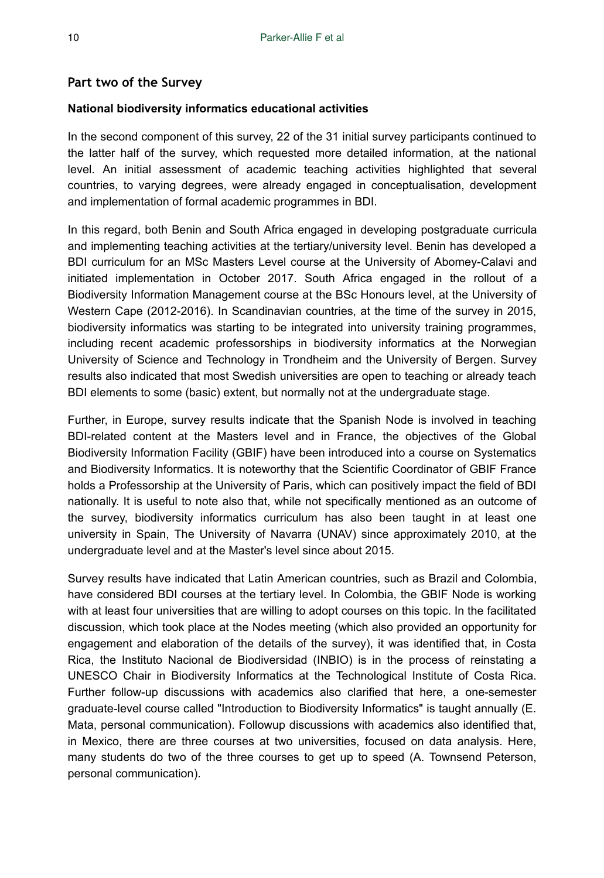#### **Part two of the Survey**

#### **National biodiversity informatics educational activities**

In the second component of this survey, 22 of the 31 initial survey participants continued to the latter half of the survey, which requested more detailed information, at the national level. An initial assessment of academic teaching activities highlighted that several countries, to varying degrees, were already engaged in conceptualisation, development and implementation of formal academic programmes in BDI.

In this regard, both Benin and South Africa engaged in developing postgraduate curricula and implementing teaching activities at the tertiary/university level. Benin has developed a BDI curriculum for an MSc Masters Level course at the University of Abomey-Calavi and initiated implementation in October 2017. South Africa engaged in the rollout of a Biodiversity Information Management course at the BSc Honours level, at the University of Western Cape (2012-2016). In Scandinavian countries, at the time of the survey in 2015, biodiversity informatics was starting to be integrated into university training programmes, including recent academic professorships in biodiversity informatics at the Norwegian University of Science and Technology in Trondheim and the University of Bergen. Survey results also indicated that most Swedish universities are open to teaching or already teach BDI elements to some (basic) extent, but normally not at the undergraduate stage.

Further, in Europe, survey results indicate that the Spanish Node is involved in teaching BDI-related content at the Masters level and in France, the objectives of the Global Biodiversity Information Facility (GBIF) have been introduced into a course on Systematics and Biodiversity Informatics. It is noteworthy that the Scientific Coordinator of GBIF France holds a Professorship at the University of Paris, which can positively impact the field of BDI nationally. It is useful to note also that, while not specifically mentioned as an outcome of the survey, biodiversity informatics curriculum has also been taught in at least one university in Spain, The University of Navarra (UNAV) since approximately 2010, at the undergraduate level and at the Master's level since about 2015.

Survey results have indicated that Latin American countries, such as Brazil and Colombia, have considered BDI courses at the tertiary level. In Colombia, the GBIF Node is working with at least four universities that are willing to adopt courses on this topic. In the facilitated discussion, which took place at the Nodes meeting (which also provided an opportunity for engagement and elaboration of the details of the survey), it was identified that, in Costa Rica, the Instituto Nacional de Biodiversidad (INBIO) is in the process of reinstating a UNESCO Chair in Biodiversity Informatics at the Technological Institute of Costa Rica. Further follow-up discussions with academics also clarified that here, a one-semester graduate-level course called "Introduction to Biodiversity Informatics" is taught annually (E. Mata, personal communication). Followup discussions with academics also identified that, in Mexico, there are three courses at two universities, focused on data analysis. Here, many students do two of the three courses to get up to speed (A. Townsend Peterson, personal communication).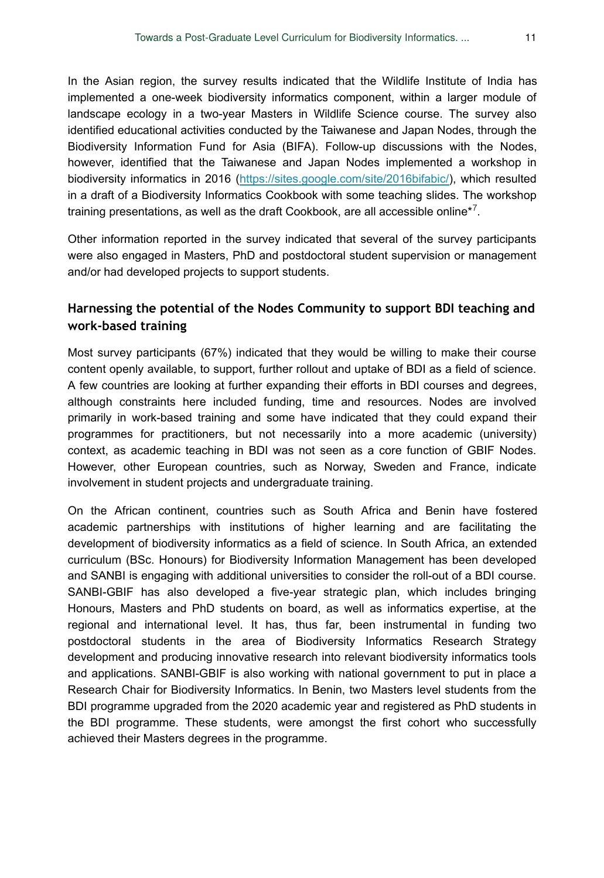In the Asian region, the survey results indicated that the Wildlife Institute of India has implemented a one-week biodiversity informatics component, within a larger module of landscape ecology in a two-year Masters in Wildlife Science course. The survey also identified educational activities conducted by the Taiwanese and Japan Nodes, through the Biodiversity Information Fund for Asia (BIFA). Follow-up discussions with the Nodes, however, identified that the Taiwanese and Japan Nodes implemented a workshop in biodiversity informatics in 2016 [\(https://sites.google.com/site/2016bifabic/\)](https://sites.google.com/site/2016bifabic/), which resulted in a draft of a Biodiversity Informatics Cookbook with some teaching slides. The workshop training presentations, as well as the draft Cookbook, are all accessible online $*^7$ .

Other information reported in the survey indicated that several of the survey participants were also engaged in Masters, PhD and postdoctoral student supervision or management and/or had developed projects to support students.

## **Harnessing the potential of the Nodes Community to support BDI teaching and work-based training**

Most survey participants (67%) indicated that they would be willing to make their course content openly available, to support, further rollout and uptake of BDI as a field of science. A few countries are looking at further expanding their efforts in BDI courses and degrees, although constraints here included funding, time and resources. Nodes are involved primarily in work-based training and some have indicated that they could expand their programmes for practitioners, but not necessarily into a more academic (university) context, as academic teaching in BDI was not seen as a core function of GBIF Nodes. However, other European countries, such as Norway, Sweden and France, indicate involvement in student projects and undergraduate training.

On the African continent, countries such as South Africa and Benin have fostered academic partnerships with institutions of higher learning and are facilitating the development of biodiversity informatics as a field of science. In South Africa, an extended curriculum (BSc. Honours) for Biodiversity Information Management has been developed and SANBI is engaging with additional universities to consider the roll-out of a BDI course. SANBI-GBIF has also developed a five-year strategic plan, which includes bringing Honours, Masters and PhD students on board, as well as informatics expertise, at the regional and international level. It has, thus far, been instrumental in funding two postdoctoral students in the area of Biodiversity Informatics Research Strategy development and producing innovative research into relevant biodiversity informatics tools and applications. SANBI-GBIF is also working with national government to put in place a Research Chair for Biodiversity Informatics. In Benin, two Masters level students from the BDI programme upgraded from the 2020 academic year and registered as PhD students in the BDI programme. These students, were amongst the first cohort who successfully achieved their Masters degrees in the programme.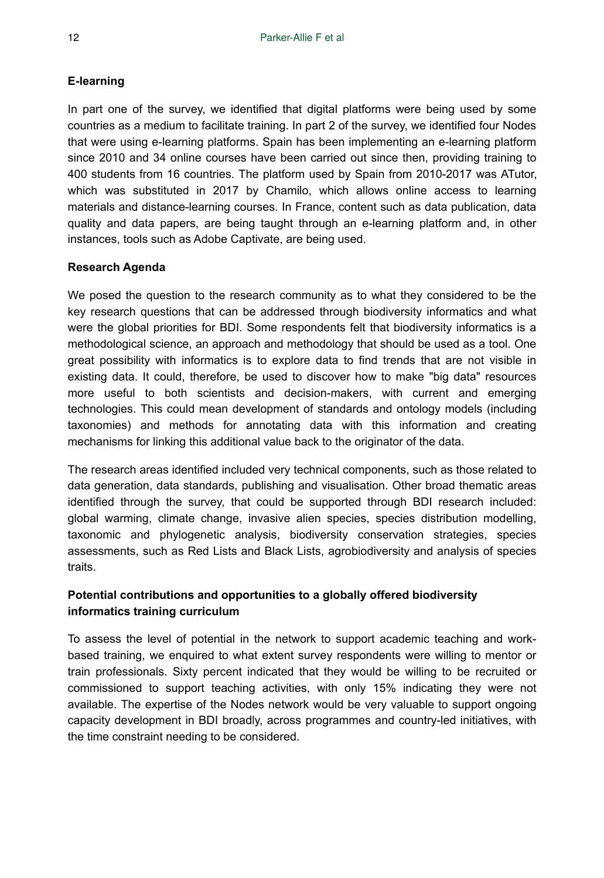## **E-learning**

In part one of the survey, we identified that digital platforms were being used by some countries as a medium to facilitate training. In part 2 of the survey, we identified four Nodes that were using e-learning platforms. Spain has been implementing an e-learning platform since 2010 and 34 online courses have been carried out since then, providing training to 400 students from 16 countries. The platform used by Spain from 2010-2017 was ATutor, which was substituted in 2017 by Chamilo, which allows online access to learning materials and distance-learning courses. In France, content such as data publication, data quality and data papers, are being taught through an e-learning platform and, in other instances, tools such as Adobe Captivate, are being used.

## **Research Agenda**

We posed the question to the research community as to what they considered to be the key research questions that can be addressed through biodiversity informatics and what were the global priorities for BDI. Some respondents felt that biodiversity informatics is a methodological science, an approach and methodology that should be used as a tool. One great possibility with informatics is to explore data to find trends that are not visible in existing data. It could, therefore, be used to discover how to make "big data" resources more useful to both scientists and decision-makers, with current and emerging technologies. This could mean development of standards and ontology models (including taxonomies) and methods for annotating data with this information and creating mechanisms for linking this additional value back to the originator of the data.

The research areas identified included very technical components, such as those related to data generation, data standards, publishing and visualisation. Other broad thematic areas identified through the survey, that could be supported through BDI research included: global warming, climate change, invasive alien species, species distribution modelling, taxonomic and phylogenetic analysis, biodiversity conservation strategies, species assessments, such as Red Lists and Black Lists, agrobiodiversity and analysis of species traits.

## **Potential contributions and opportunities to a globally offered biodiversity informatics training curriculum**

To assess the level of potential in the network to support academic teaching and workbased training, we enquired to what extent survey respondents were willing to mentor or train professionals. Sixty percent indicated that they would be willing to be recruited or commissioned to support teaching activities, with only 15% indicating they were not available. The expertise of the Nodes network would be very valuable to support ongoing capacity development in BDI broadly, across programmes and country-led initiatives, with the time constraint needing to be considered.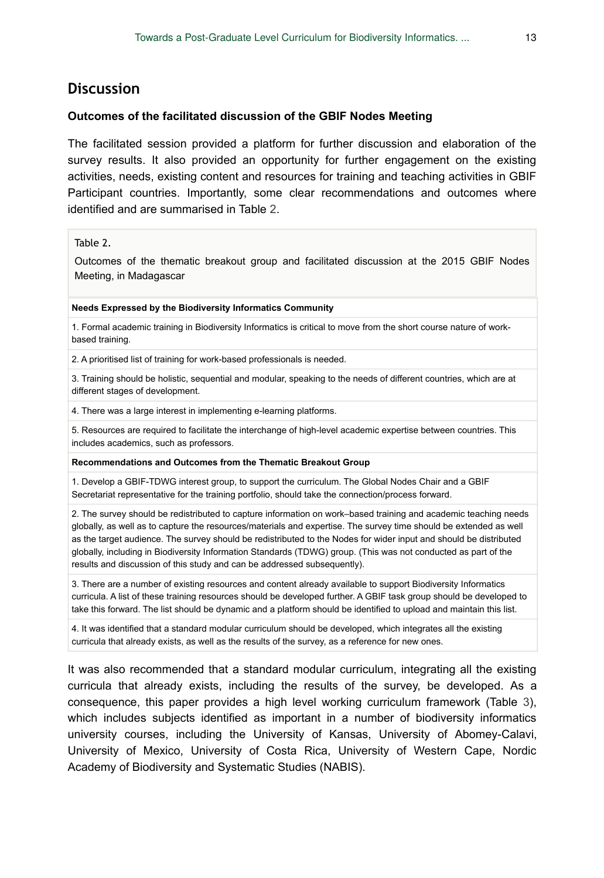## **Discussion**

#### **Outcomes of the facilitated discussion of the GBIF Nodes Meeting**

The facilitated session provided a platform for further discussion and elaboration of the survey results. It also provided an opportunity for further engagement on the existing activities, needs, existing content and resources for training and teaching activities in GBIF Participant countries. Importantly, some clear recommendations and outcomes where identified and are summarised in Table [2.](#page-12-0)

#### <span id="page-12-0"></span>Table 2.

Outcomes of the thematic breakout group and facilitated discussion at the 2015 GBIF Nodes Meeting, in Madagascar

#### **Needs Expressed by the Biodiversity Informatics Community**

1. Formal academic training in Biodiversity Informatics is critical to move from the short course nature of workbased training.

2. A prioritised list of training for work-based professionals is needed.

3. Training should be holistic, sequential and modular, speaking to the needs of different countries, which are at different stages of development.

4. There was a large interest in implementing e-learning platforms.

5. Resources are required to facilitate the interchange of high-level academic expertise between countries. This includes academics, such as professors.

#### **Recommendations and Outcomes from the Thematic Breakout Group**

1. Develop a GBIF-TDWG interest group, to support the curriculum. The Global Nodes Chair and a GBIF Secretariat representative for the training portfolio, should take the connection/process forward.

2. The survey should be redistributed to capture information on work–based training and academic teaching needs globally, as well as to capture the resources/materials and expertise. The survey time should be extended as well as the target audience. The survey should be redistributed to the Nodes for wider input and should be distributed globally, including in Biodiversity Information Standards (TDWG) group. (This was not conducted as part of the results and discussion of this study and can be addressed subsequently).

3. There are a number of existing resources and content already available to support Biodiversity Informatics curricula. A list of these training resources should be developed further. A GBIF task group should be developed to take this forward. The list should be dynamic and a platform should be identified to upload and maintain this list.

4. It was identified that a standard modular curriculum should be developed, which integrates all the existing curricula that already exists, as well as the results of the survey, as a reference for new ones.

It was also recommended that a standard modular curriculum, integrating all the existing curricula that already exists, including the results of the survey, be developed. As a consequence, this paper provides a high level working curriculum framework (Table [3\)](#page-13-0), which includes subjects identified as important in a number of biodiversity informatics university courses, including the University of Kansas, University of Abomey-Calavi, University of Mexico, University of Costa Rica, University of Western Cape, Nordic Academy of Biodiversity and Systematic Studies (NABIS).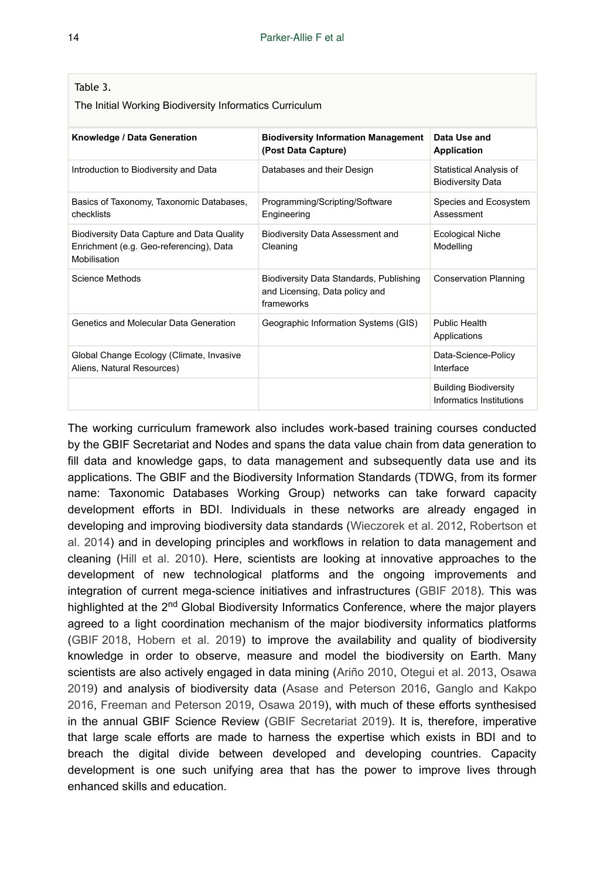#### <span id="page-13-0"></span>Table 3.

The Initial Working Biodiversity Informatics Curriculum

| Knowledge / Data Generation                                                                           | <b>Biodiversity Information Management</b><br>(Post Data Capture)                       | Data Use and<br><b>Application</b>                       |
|-------------------------------------------------------------------------------------------------------|-----------------------------------------------------------------------------------------|----------------------------------------------------------|
| Introduction to Biodiversity and Data                                                                 | Databases and their Design                                                              | Statistical Analysis of<br><b>Biodiversity Data</b>      |
| Basics of Taxonomy, Taxonomic Databases,<br>checklists                                                | Programming/Scripting/Software<br>Engineering                                           | Species and Ecosystem<br>Assessment                      |
| Biodiversity Data Capture and Data Quality<br>Enrichment (e.g. Geo-referencing), Data<br>Mobilisation | Biodiversity Data Assessment and<br>Cleaning                                            | <b>Ecological Niche</b><br>Modelling                     |
| Science Methods                                                                                       | Biodiversity Data Standards, Publishing<br>and Licensing, Data policy and<br>frameworks | <b>Conservation Planning</b>                             |
| Genetics and Molecular Data Generation                                                                | Geographic Information Systems (GIS)                                                    | Public Health<br>Applications                            |
| Global Change Ecology (Climate, Invasive<br>Aliens, Natural Resources)                                |                                                                                         | Data-Science-Policy<br>Interface                         |
|                                                                                                       |                                                                                         | <b>Building Biodiversity</b><br>Informatics Institutions |

The working curriculum framework also includes work-based training courses conducted by the GBIF Secretariat and Nodes and spans the data value chain from data generation to fill data and knowledge gaps, to data management and subsequently data use and its applications. The GBIF and the Biodiversity Information Standards (TDWG, from its former name: Taxonomic Databases Working Group) networks can take forward capacity development efforts in BDI. Individuals in these networks are already engaged in developing and improving biodiversity data standards [\(Wieczorek et al. 2012](#page-23-4), [Robertson et](#page-23-3) [al. 2014](#page-23-3)) and in developing principles and workflows in relation to data management and cleaning [\(Hill et al. 2010\)](#page-22-2). Here, scientists are looking at innovative approaches to the development of new technological platforms and the ongoing improvements and integration of current mega-science initiatives and infrastructures ([GBIF 2018](#page-21-4)). This was highlighted at the 2<sup>nd</sup> Global Biodiversity Informatics Conference, where the major players agreed to a light coordination mechanism of the major biodiversity informatics platforms [\(GBIF 2018,](#page-21-4) [Hobern et al. 2019](#page-22-9)) to improve the availability and quality of biodiversity knowledge in order to observe, measure and model the biodiversity on Earth. Many scientists are also actively engaged in data mining ([Ariño 2010,](#page-20-3) [Otegui et al. 2013,](#page-23-9) [Osawa](#page-23-8) [2019](#page-23-8)) and analysis of biodiversity data ([Asase and Peterson 2016](#page-20-4), [Ganglo and Kakpo](#page-21-5) [2016](#page-21-5), [Freeman and Peterson 2019](#page-21-6), [Osawa 2019](#page-23-8)), with much of these efforts synthesised in the annual GBIF Science Review ([GBIF Secretariat 2019](#page-22-3)). It is, therefore, imperative that large scale efforts are made to harness the expertise which exists in BDI and to breach the digital divide between developed and developing countries. Capacity development is one such unifying area that has the power to improve lives through enhanced skills and education.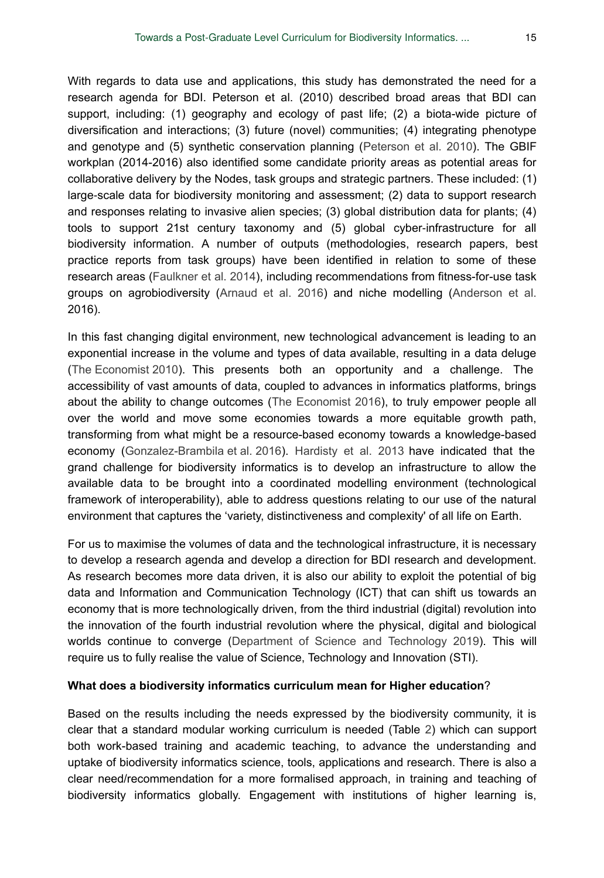With regards to data use and applications, this study has demonstrated the need for a research agenda for BDI. Peterson et al. (2010) described broad areas that BDI can support, including: (1) geography and ecology of past life; (2) a biota-wide picture of diversification and interactions; (3) future (novel) communities; (4) integrating phenotype and genotype and (5) synthetic conservation planning ([Peterson et al. 2010\)](#page-23-10). The GBIF workplan (2014-2016) also identified some candidate priority areas as potential areas for collaborative delivery by the Nodes, task groups and strategic partners. These included: (1) large‐scale data for biodiversity monitoring and assessment; (2) data to support research and responses relating to invasive alien species; (3) global distribution data for plants; (4) tools to support 21st century taxonomy and (5) global cyber-infrastructure for all biodiversity information. A number of outputs (methodologies, research papers, best practice reports from task groups) have been identified in relation to some of these research areas [\(Faulkner et al. 2014](#page-21-7)), including recommendations from fitness-for-use task groups on agrobiodiversity [\(Arnaud et al. 2016](#page-20-5)) and niche modelling [\(Anderson et al.](#page-20-6) 2016).

In this fast changing digital environment, new technological advancement is leading to an exponential increase in the volume and types of data available, resulting in a data deluge [\(The Economist 2010\)](#page-23-11). This presents both an opportunity and a challenge. The accessibility of vast amounts of data, coupled to advances in informatics platforms, brings about the ability to change outcomes [\(The Economist 2016\)](#page-23-12), to truly empower people all over the world and move some economies towards a more equitable growth path, transforming from what might be a resource-based economy towards a knowledge-based economy ([Gonzalez-Brambila et al. 2016\)](#page-22-10). [Hardisty et al. 2013](#page-22-0) have indicated that the grand challenge for biodiversity informatics is to develop an infrastructure to allow the available data to be brought into a coordinated modelling environment (technological framework of interoperability), able to address questions relating to our use of the natural environment that captures the 'variety, distinctiveness and complexity' of all life on Earth.

For us to maximise the volumes of data and the technological infrastructure, it is necessary to develop a research agenda and develop a direction for BDI research and development. As research becomes more data driven, it is also our ability to exploit the potential of big data and Information and Communication Technology (ICT) that can shift us towards an economy that is more technologically driven, from the third industrial (digital) revolution into the innovation of the fourth industrial revolution where the physical, digital and biological worlds continue to converge [\(Department of Science and Technology 2019\)](#page-20-7). This will require us to fully realise the value of Science, Technology and Innovation (STI).

#### **What does a biodiversity informatics curriculum mean for Higher education**?

Based on the results including the needs expressed by the biodiversity community, it is clear that a standard modular working curriculum is needed (Table [2\)](#page-12-0) which can support both work-based training and academic teaching, to advance the understanding and uptake of biodiversity informatics science, tools, applications and research. There is also a clear need/recommendation for a more formalised approach, in training and teaching of biodiversity informatics globally. Engagement with institutions of higher learning is,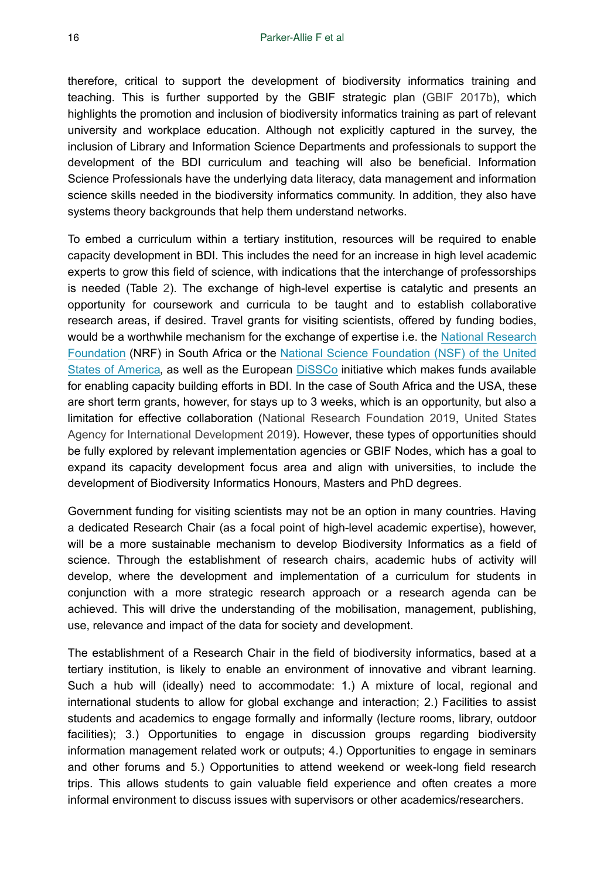therefore, critical to support the development of biodiversity informatics training and teaching. This is further supported by the GBIF strategic plan ([GBIF 2017b](#page-21-8)), which highlights the promotion and inclusion of biodiversity informatics training as part of relevant university and workplace education. Although not explicitly captured in the survey, the inclusion of Library and Information Science Departments and professionals to support the development of the BDI curriculum and teaching will also be beneficial. Information Science Professionals have the underlying data literacy, data management and information science skills needed in the biodiversity informatics community. In addition, they also have systems theory backgrounds that help them understand networks.

To embed a curriculum within a tertiary institution, resources will be required to enable capacity development in BDI. This includes the need for an increase in high level academic experts to grow this field of science, with indications that the interchange of professorships is needed (Table [2](#page-12-0)). The exchange of high-level expertise is catalytic and presents an opportunity for coursework and curricula to be taught and to establish collaborative research areas, if desired. Travel grants for visiting scientists, offered by funding bodies, would be a worthwhile mechanism for the exchange of expertise i.e. the [National Research](https://www.nrf.ac.za/) [Foundation](https://www.nrf.ac.za/) (NRF) in South Africa or the [National Science Foundation \(NSF\) of the United](https://www.nsf.gov/) [States of America,](https://www.nsf.gov/) as well as the European [DiSSCo](https://www.dissco.eu/) initiative which makes funds available for enabling capacity building efforts in BDI. In the case of South Africa and the USA, these are short term grants, however, for stays up to 3 weeks, which is an opportunity, but also a limitation for effective collaboration ([National Research Foundation 2019,](#page-22-11) [United States](#page-23-13) [Agency for International Development 2019\)](#page-23-13). However, these types of opportunities should be fully explored by relevant implementation agencies or GBIF Nodes, which has a goal to expand its capacity development focus area and align with universities, to include the development of Biodiversity Informatics Honours, Masters and PhD degrees.

Government funding for visiting scientists may not be an option in many countries. Having a dedicated Research Chair (as a focal point of high-level academic expertise), however, will be a more sustainable mechanism to develop Biodiversity Informatics as a field of science. Through the establishment of research chairs, academic hubs of activity will develop, where the development and implementation of a curriculum for students in conjunction with a more strategic research approach or a research agenda can be achieved. This will drive the understanding of the mobilisation, management, publishing, use, relevance and impact of the data for society and development.

The establishment of a Research Chair in the field of biodiversity informatics, based at a tertiary institution, is likely to enable an environment of innovative and vibrant learning. Such a hub will (ideally) need to accommodate: 1.) A mixture of local, regional and international students to allow for global exchange and interaction; 2.) Facilities to assist students and academics to engage formally and informally (lecture rooms, library, outdoor facilities); 3.) Opportunities to engage in discussion groups regarding biodiversity information management related work or outputs; 4.) Opportunities to engage in seminars and other forums and 5.) Opportunities to attend weekend or week-long field research trips. This allows students to gain valuable field experience and often creates a more informal environment to discuss issues with supervisors or other academics/researchers.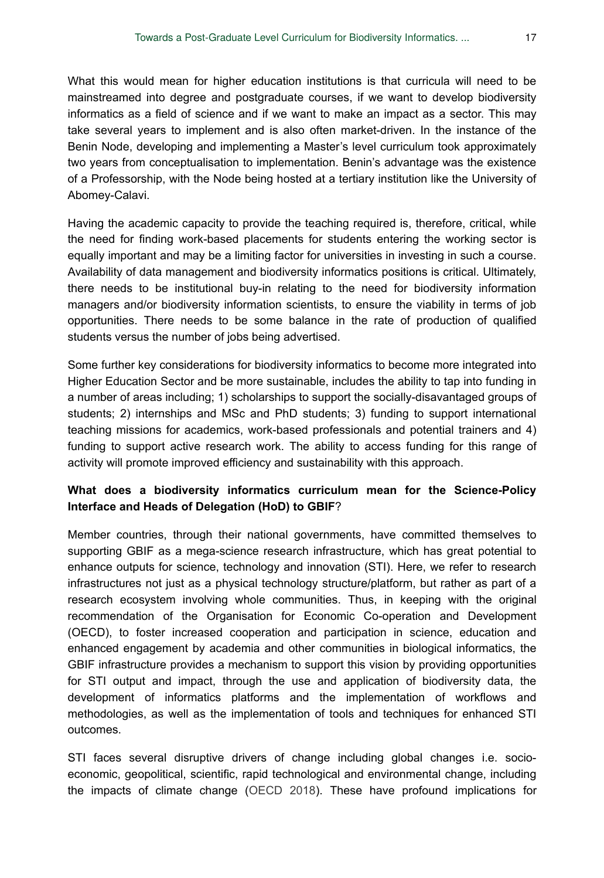What this would mean for higher education institutions is that curricula will need to be mainstreamed into degree and postgraduate courses, if we want to develop biodiversity informatics as a field of science and if we want to make an impact as a sector. This may take several years to implement and is also often market-driven. In the instance of the Benin Node, developing and implementing a Master's level curriculum took approximately two years from conceptualisation to implementation. Benin's advantage was the existence of a Professorship, with the Node being hosted at a tertiary institution like the University of Abomey-Calavi.

Having the academic capacity to provide the teaching required is, therefore, critical, while the need for finding work-based placements for students entering the working sector is equally important and may be a limiting factor for universities in investing in such a course. Availability of data management and biodiversity informatics positions is critical. Ultimately, there needs to be institutional buy-in relating to the need for biodiversity information managers and/or biodiversity information scientists, to ensure the viability in terms of job opportunities. There needs to be some balance in the rate of production of qualified students versus the number of jobs being advertised.

Some further key considerations for biodiversity informatics to become more integrated into Higher Education Sector and be more sustainable, includes the ability to tap into funding in a number of areas including; 1) scholarships to support the socially-disavantaged groups of students; 2) internships and MSc and PhD students; 3) funding to support international teaching missions for academics, work-based professionals and potential trainers and 4) funding to support active research work. The ability to access funding for this range of activity will promote improved efficiency and sustainability with this approach.

## **What does a biodiversity informatics curriculum mean for the Science-Policy Interface and Heads of Delegation (HoD) to GBIF**?

Member countries, through their national governments, have committed themselves to supporting GBIF as a mega-science research infrastructure, which has great potential to enhance outputs for science, technology and innovation (STI). Here, we refer to research infrastructures not just as a physical technology structure/platform, but rather as part of a research ecosystem involving whole communities. Thus, in keeping with the original recommendation of the Organisation for Economic Co-operation and Development (OECD), to foster increased cooperation and participation in science, education and enhanced engagement by academia and other communities in biological informatics, the GBIF infrastructure provides a mechanism to support this vision by providing opportunities for STI output and impact, through the use and application of biodiversity data, the development of informatics platforms and the implementation of workflows and methodologies, as well as the implementation of tools and techniques for enhanced STI outcomes.

STI faces several disruptive drivers of change including global changes i.e. socioeconomic, geopolitical, scientific, rapid technological and environmental change, including the impacts of climate change ([OECD 2018](#page-23-14)). These have profound implications for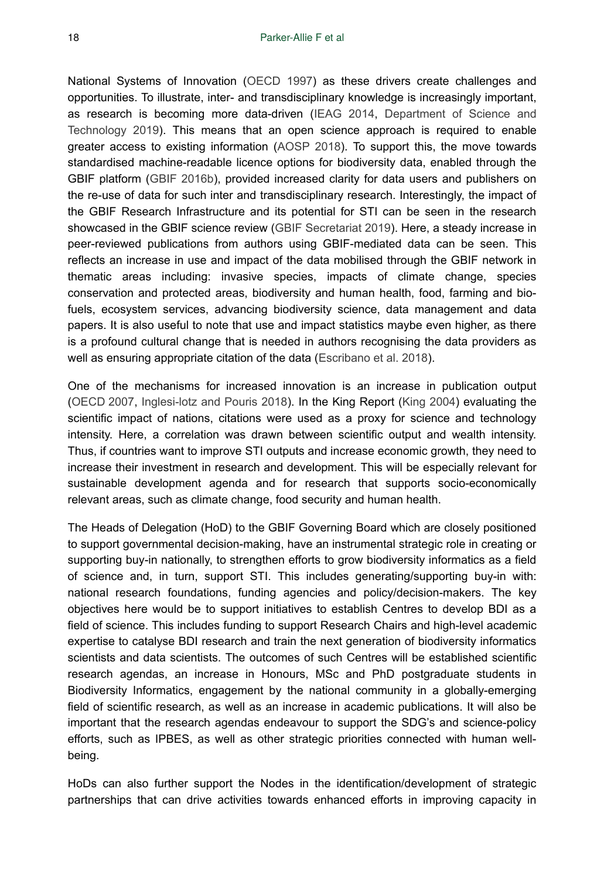National Systems of Innovation [\(OECD 1997\)](#page-22-12) as these drivers create challenges and opportunities. To illustrate, inter- and transdisciplinary knowledge is increasingly important, as research is becoming more data-driven ([IEAG 2014,](#page-22-7) [Department of Science and](#page-20-7) [Technology 2019](#page-20-7)). This means that an open science approach is required to enable greater access to existing information ([AOSP 2018\)](#page-20-8). To support this, the move towards standardised machine-readable licence options for biodiversity data, enabled through the GBIF platform ([GBIF 2016b](#page-21-9)), provided increased clarity for data users and publishers on the re-use of data for such inter and transdisciplinary research. Interestingly, the impact of the GBIF Research Infrastructure and its potential for STI can be seen in the research showcased in the GBIF science review ([GBIF Secretariat 2019](#page-22-3)). Here, a steady increase in peer-reviewed publications from authors using GBIF-mediated data can be seen. This reflects an increase in use and impact of the data mobilised through the GBIF network in thematic areas including: invasive species, impacts of climate change, species conservation and protected areas, biodiversity and human health, food, farming and biofuels, ecosystem services, advancing biodiversity science, data management and data papers. It is also useful to note that use and impact statistics maybe even higher, as there is a profound cultural change that is needed in authors recognising the data providers as well as ensuring appropriate citation of the data ([Escribano et al. 2018](#page-21-10)).

One of the mechanisms for increased innovation is an increase in publication output [\(OECD 2007,](#page-22-13) [Inglesi-lotz and Pouris 2018](#page-22-14)). In the King Report [\(King 2004\)](#page-22-15) evaluating the scientific impact of nations, citations were used as a proxy for science and technology intensity. Here, a correlation was drawn between scientific output and wealth intensity. Thus, if countries want to improve STI outputs and increase economic growth, they need to increase their investment in research and development. This will be especially relevant for sustainable development agenda and for research that supports socio-economically relevant areas, such as climate change, food security and human health.

The Heads of Delegation (HoD) to the GBIF Governing Board which are closely positioned to support governmental decision-making, have an instrumental strategic role in creating or supporting buy-in nationally, to strengthen efforts to grow biodiversity informatics as a field of science and, in turn, support STI. This includes generating/supporting buy-in with: national research foundations, funding agencies and policy/decision-makers. The key objectives here would be to support initiatives to establish Centres to develop BDI as a field of science. This includes funding to support Research Chairs and high-level academic expertise to catalyse BDI research and train the next generation of biodiversity informatics scientists and data scientists. The outcomes of such Centres will be established scientific research agendas, an increase in Honours, MSc and PhD postgraduate students in Biodiversity Informatics, engagement by the national community in a globally-emerging field of scientific research, as well as an increase in academic publications. It will also be important that the research agendas endeavour to support the SDG's and science-policy efforts, such as IPBES, as well as other strategic priorities connected with human wellbeing.

HoDs can also further support the Nodes in the identification/development of strategic partnerships that can drive activities towards enhanced efforts in improving capacity in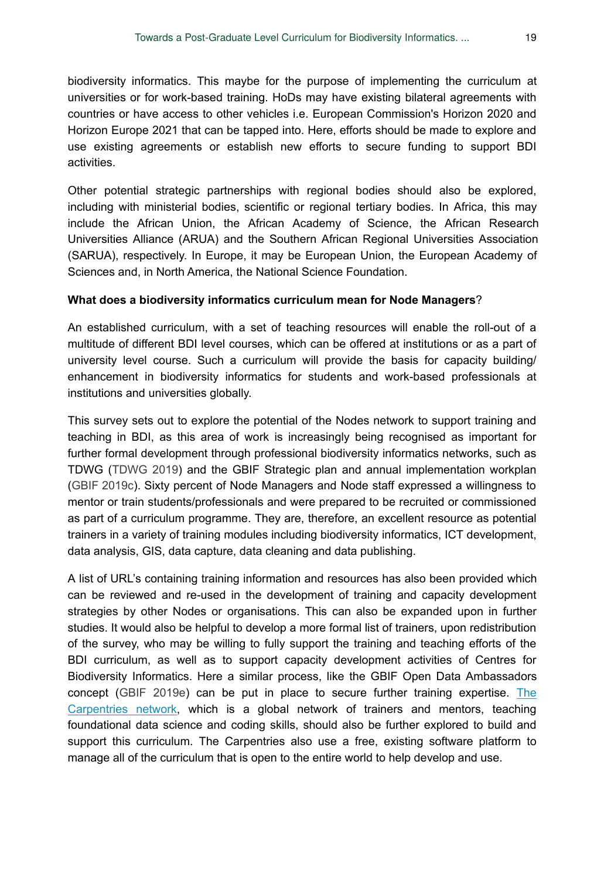biodiversity informatics. This maybe for the purpose of implementing the curriculum at universities or for work-based training. HoDs may have existing bilateral agreements with countries or have access to other vehicles i.e. European Commission's Horizon 2020 and Horizon Europe 2021 that can be tapped into. Here, efforts should be made to explore and use existing agreements or establish new efforts to secure funding to support BDI activities.

Other potential strategic partnerships with regional bodies should also be explored, including with ministerial bodies, scientific or regional tertiary bodies. In Africa, this may include the African Union, the African Academy of Science, the African Research Universities Alliance (ARUA) and the Southern African Regional Universities Association (SARUA), respectively. In Europe, it may be European Union, the European Academy of Sciences and, in North America, the National Science Foundation.

#### **What does a biodiversity informatics curriculum mean for Node Managers**?

An established curriculum, with a set of teaching resources will enable the roll-out of a multitude of different BDI level courses, which can be offered at institutions or as a part of university level course. Such a curriculum will provide the basis for capacity building/ enhancement in biodiversity informatics for students and work-based professionals at institutions and universities globally.

This survey sets out to explore the potential of the Nodes network to support training and teaching in BDI, as this area of work is increasingly being recognised as important for further formal development through professional biodiversity informatics networks, such as TDWG ([TDWG 2019](#page-23-15)) and the GBIF Strategic plan and annual implementation workplan [\(GBIF 2019c](#page-21-11)). Sixty percent of Node Managers and Node staff expressed a willingness to mentor or train students/professionals and were prepared to be recruited or commissioned as part of a curriculum programme. They are, therefore, an excellent resource as potential trainers in a variety of training modules including biodiversity informatics, ICT development, data analysis, GIS, data capture, data cleaning and data publishing.

A list of URL's containing training information and resources has also been provided which can be reviewed and re-used in the development of training and capacity development strategies by other Nodes or organisations. This can also be expanded upon in further studies. It would also be helpful to develop a more formal list of trainers, upon redistribution of the survey, who may be willing to fully support the training and teaching efforts of the BDI curriculum, as well as to support capacity development activities of Centres for Biodiversity Informatics. Here a similar process, like the GBIF Open Data Ambassadors concept [\(GBIF 2019e\)](#page-22-16) can be put in place to secure further training expertise. [The](https://carpentries.org/) [Carpentries network,](https://carpentries.org/) which is a global network of trainers and mentors, teaching foundational data science and coding skills, should also be further explored to build and support this curriculum. The Carpentries also use a free, existing software platform to manage all of the curriculum that is open to the entire world to help develop and use.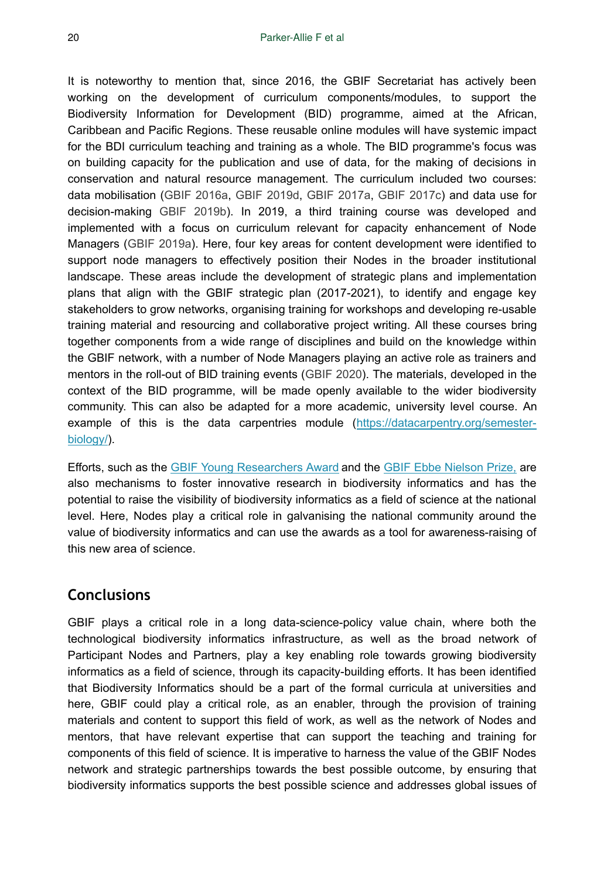It is noteworthy to mention that, since 2016, the GBIF Secretariat has actively been working on the development of curriculum components/modules, to support the Biodiversity Information for Development (BID) programme, aimed at the African, Caribbean and Pacific Regions. These reusable online modules will have systemic impact for the BDI curriculum teaching and training as a whole. The BID programme's focus was on building capacity for the publication and use of data, for the making of decisions in conservation and natural resource management. The curriculum included two courses: data mobilisation [\(GBIF 2016a](#page-21-12), [GBIF 2019d,](#page-21-13) [GBIF 2017a,](#page-21-14) [GBIF 2017c](#page-21-15)) and data use for decision-making [GBIF 2019b](#page-21-16)). In 2019, a third training course was developed and implemented with a focus on curriculum relevant for capacity enhancement of Node Managers ([GBIF 2019a](#page-21-17)). Here, four key areas for content development were identified to support node managers to effectively position their Nodes in the broader institutional landscape. These areas include the development of strategic plans and implementation plans that align with the GBIF strategic plan (2017-2021), to identify and engage key stakeholders to grow networks, organising training for workshops and developing re-usable training material and resourcing and collaborative project writing. All these courses bring together components from a wide range of disciplines and build on the knowledge within the GBIF network, with a number of Node Managers playing an active role as trainers and mentors in the roll-out of BID training events [\(GBIF 2020](#page-22-17)). The materials, developed in the context of the BID programme, will be made openly available to the wider biodiversity community. This can also be adapted for a more academic, university level course. An example of this is the data carpentries module ([https://datacarpentry.org/semester](https://datacarpentry.org/semester-biology/)[biology/](https://datacarpentry.org/semester-biology/)).

Efforts, such as the [GBIF Young Researchers Award](https://www.gbif.org/article/44SftFORi0A6mwGK4sgAKW/young-researchers-award) and the [GBIF Ebbe Nielson Prize,](https://www.gbif.org/article/1G82GL7jw08kS0g6k6MuSa/ebbe-nielsen-challenge) are also mechanisms to foster innovative research in biodiversity informatics and has the potential to raise the visibility of biodiversity informatics as a field of science at the national level. Here, Nodes play a critical role in galvanising the national community around the value of biodiversity informatics and can use the awards as a tool for awareness-raising of this new area of science.

## **Conclusions**

GBIF plays a critical role in a long data-science-policy value chain, where both the technological biodiversity informatics infrastructure, as well as the broad network of Participant Nodes and Partners, play a key enabling role towards growing biodiversity informatics as a field of science, through its capacity-building efforts. It has been identified that Biodiversity Informatics should be a part of the formal curricula at universities and here, GBIF could play a critical role, as an enabler, through the provision of training materials and content to support this field of work, as well as the network of Nodes and mentors, that have relevant expertise that can support the teaching and training for components of this field of science. It is imperative to harness the value of the GBIF Nodes network and strategic partnerships towards the best possible outcome, by ensuring that biodiversity informatics supports the best possible science and addresses global issues of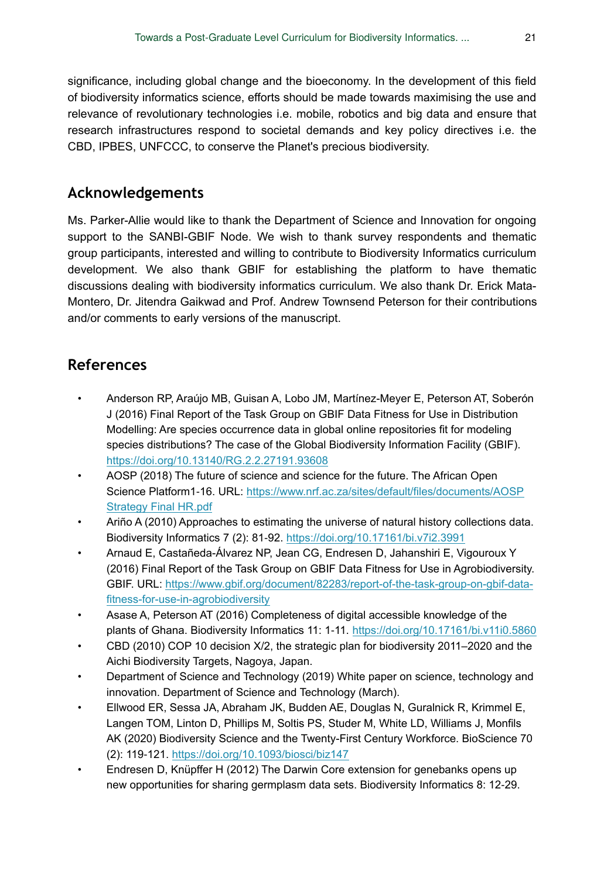significance, including global change and the bioeconomy. In the development of this field of biodiversity informatics science, efforts should be made towards maximising the use and relevance of revolutionary technologies i.e. mobile, robotics and big data and ensure that research infrastructures respond to societal demands and key policy directives i.e. the CBD, IPBES, UNFCCC, to conserve the Planet's precious biodiversity.

# **Acknowledgements**

Ms. Parker-Allie would like to thank the Department of Science and Innovation for ongoing support to the SANBI-GBIF Node. We wish to thank survey respondents and thematic group participants, interested and willing to contribute to Biodiversity Informatics curriculum development. We also thank GBIF for establishing the platform to have thematic discussions dealing with biodiversity informatics curriculum. We also thank Dr. Erick Mata-Montero, Dr. Jitendra Gaikwad and Prof. Andrew Townsend Peterson for their contributions and/or comments to early versions of the manuscript.

# **References**

- <span id="page-20-6"></span>• Anderson RP, Araújo MB, Guisan A, Lobo JM, Martínez-Meyer E, Peterson AT, Soberón J (2016) Final Report of the Task Group on GBIF Data Fitness for Use in Distribution Modelling: Are species occurrence data in global online repositories fit for modeling species distributions? The case of the Global Biodiversity Information Facility (GBIF). <https://doi.org/10.13140/RG.2.2.27191.93608>
- <span id="page-20-8"></span>• AOSP (2018) The future of science and science for the future. The African Open Science Platform1-16. URL: [https://www.nrf.ac.za/sites/default/files/documents/AOSP](http://https://www.nrf.ac.za/sites/default/files/documents/AOSP%20Strategy%20Final%20HR.pdf) [Strategy Final HR.pdf](http://https://www.nrf.ac.za/sites/default/files/documents/AOSP%20Strategy%20Final%20HR.pdf)
- <span id="page-20-3"></span>• Ariño A (2010) Approaches to estimating the universe of natural history collections data. Biodiversity Informatics 7 (2): 81‑92. <https://doi.org/10.17161/bi.v7i2.3991>
- <span id="page-20-5"></span>• Arnaud E, Castañeda-Álvarez NP, Jean CG, Endresen D, Jahanshiri E, Vigouroux Y (2016) Final Report of the Task Group on GBIF Data Fitness for Use in Agrobiodiversity. GBIF. URL: [https://www.gbif.org/document/82283/report-of-the-task-group-on-gbif-data](https://www.gbif.org/document/82283/report-of-the-task-group-on-gbif-data-fitness-for-use-in-agrobiodiversity)[fitness-for-use-in-agrobiodiversity](https://www.gbif.org/document/82283/report-of-the-task-group-on-gbif-data-fitness-for-use-in-agrobiodiversity)
- <span id="page-20-4"></span>• Asase A, Peterson AT (2016) Completeness of digital accessible knowledge of the plants of Ghana. Biodiversity Informatics 11: 1‑11. <https://doi.org/10.17161/bi.v11i0.5860>
- <span id="page-20-2"></span>• CBD (2010) COP 10 decision X/2, the strategic plan for biodiversity 2011–2020 and the Aichi Biodiversity Targets, Nagoya, Japan.
- <span id="page-20-7"></span>• Department of Science and Technology (2019) White paper on science, technology and innovation. Department of Science and Technology (March).
- <span id="page-20-1"></span>• Ellwood ER, Sessa JA, Abraham JK, Budden AE, Douglas N, Guralnick R, Krimmel E, Langen TOM, Linton D, Phillips M, Soltis PS, Studer M, White LD, Williams J, Monfils AK (2020) Biodiversity Science and the Twenty-First Century Workforce. BioScience 70 (2): 119‑121.<https://doi.org/10.1093/biosci/biz147>
- <span id="page-20-0"></span>• Endresen D, Knüpffer H (2012) The Darwin Core extension for genebanks opens up new opportunities for sharing germplasm data sets. Biodiversity Informatics 8: 12‑29.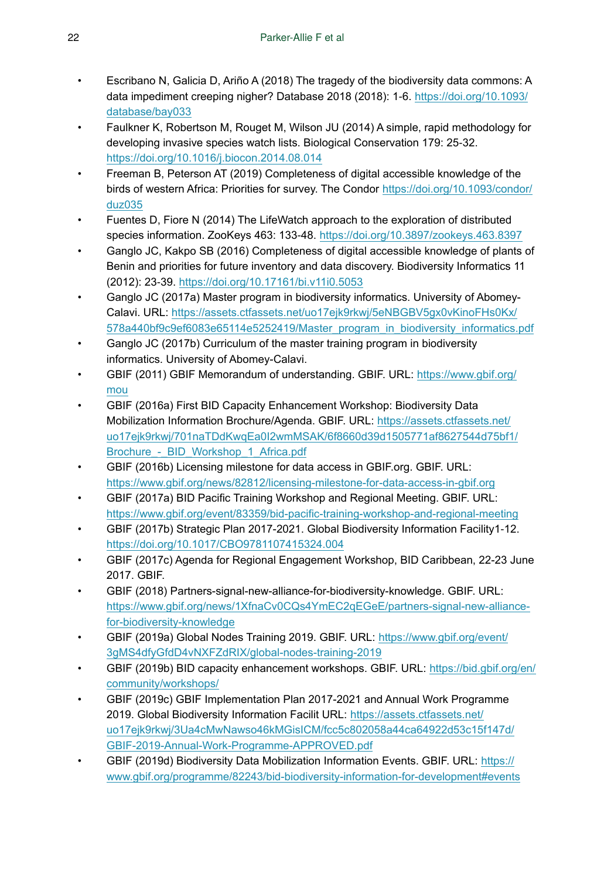- <span id="page-21-10"></span>• Escribano N, Galicia D, Ariño A (2018) The tragedy of the biodiversity data commons: A data impediment creeping nigher? Database 2018 (2018): 1-6. [https://doi.org/10.1093/](https://doi.org/10.1093/database/bay033) [database/bay033](https://doi.org/10.1093/database/bay033)
- <span id="page-21-7"></span>• Faulkner K, Robertson M, Rouget M, Wilson JU (2014) A simple, rapid methodology for developing invasive species watch lists. Biological Conservation 179: 25‑32. <https://doi.org/10.1016/j.biocon.2014.08.014>
- <span id="page-21-6"></span>• Freeman B, Peterson AT (2019) Completeness of digital accessible knowledge of the birds of western Africa: Priorities for survey. The Condor [https://doi.org/10.1093/condor/](https://doi.org/10.1093/condor/duz035) [duz035](https://doi.org/10.1093/condor/duz035)
- <span id="page-21-0"></span>• Fuentes D, Fiore N (2014) The LifeWatch approach to the exploration of distributed species information. ZooKeys 463: 133‑48.<https://doi.org/10.3897/zookeys.463.8397>
- <span id="page-21-5"></span>• Ganglo JC, Kakpo SB (2016) Completeness of digital accessible knowledge of plants of Benin and priorities for future inventory and data discovery. Biodiversity Informatics 11 (2012): 23‑39. <https://doi.org/10.17161/bi.v11i0.5053>
- <span id="page-21-1"></span>• Ganglo JC (2017a) Master program in biodiversity informatics. University of Abomey-Calavi. URL: [https://assets.ctfassets.net/uo17ejk9rkwj/5eNBGBV5gx0vKinoFHs0Kx/](https://assets.ctfassets.net/uo17ejk9rkwj/5eNBGBV5gx0vKinoFHs0Kx/578a440bf9c9ef6083e65114e5252419/Master_program_in_biodiversity_informatics.pdf) [578a440bf9c9ef6083e65114e5252419/Master\\_program\\_in\\_biodiversity\\_informatics.pdf](https://assets.ctfassets.net/uo17ejk9rkwj/5eNBGBV5gx0vKinoFHs0Kx/578a440bf9c9ef6083e65114e5252419/Master_program_in_biodiversity_informatics.pdf)
- <span id="page-21-2"></span>• Ganglo JC (2017b) Curriculum of the master training program in biodiversity informatics. University of Abomey-Calavi.
- <span id="page-21-3"></span>GBIF (2011) GBIF Memorandum of understanding. GBIF. URL: [https://www.gbif.org/](https://www.gbif.org/mou) [mou](https://www.gbif.org/mou)
- <span id="page-21-12"></span>• GBIF (2016a) First BID Capacity Enhancement Workshop: Biodiversity Data Mobilization Information Brochure/Agenda. GBIF. URL: [https://assets.ctfassets.net/](https://assets.ctfassets.net/uo17ejk9rkwj/701naTDdKwqEa0I2wmMSAK/6f8660d39d1505771af8627544d75bf1/Brochure_-_BID_Workshop_1_Africa.pdf) [uo17ejk9rkwj/701naTDdKwqEa0I2wmMSAK/6f8660d39d1505771af8627544d75bf1/](https://assets.ctfassets.net/uo17ejk9rkwj/701naTDdKwqEa0I2wmMSAK/6f8660d39d1505771af8627544d75bf1/Brochure_-_BID_Workshop_1_Africa.pdf) Brochure - BID\_Workshop\_1\_Africa.pdf
- <span id="page-21-9"></span>• GBIF (2016b) Licensing milestone for data access in GBIF.org. GBIF. URL: <https://www.gbif.org/news/82812/licensing-milestone-for-data-access-in-gbif.org>
- <span id="page-21-14"></span>• GBIF (2017a) BID Pacific Training Workshop and Regional Meeting. GBIF. URL: <https://www.gbif.org/event/83359/bid-pacific-training-workshop-and-regional-meeting>
- <span id="page-21-8"></span>GBIF (2017b) Strategic Plan 2017-2021. Global Biodiversity Information Facility1-12. <https://doi.org/10.1017/CBO9781107415324.004>
- <span id="page-21-15"></span>• GBIF (2017c) Agenda for Regional Engagement Workshop, BID Caribbean, 22-23 June 2017. GBIF.
- <span id="page-21-4"></span>• GBIF (2018) Partners-signal-new-alliance-for-biodiversity-knowledge. GBIF. URL: [https://www.gbif.org/news/1XfnaCv0CQs4YmEC2qEGeE/partners-signal-new-alliance](https://www.gbif.org/news/1XfnaCv0CQs4YmEC2qEGeE/partners-signal-new-alliance-for-biodiversity-knowledge)[for-biodiversity-knowledge](https://www.gbif.org/news/1XfnaCv0CQs4YmEC2qEGeE/partners-signal-new-alliance-for-biodiversity-knowledge)
- <span id="page-21-17"></span>• GBIF (2019a) Global Nodes Training 2019. GBIF. URL: [https://www.gbif.org/event/](https://www.gbif.org/event/3gMS4dfyGfdD4vNXFZdRIX/global-nodes-training-2019) [3gMS4dfyGfdD4vNXFZdRIX/global-nodes-training-2019](https://www.gbif.org/event/3gMS4dfyGfdD4vNXFZdRIX/global-nodes-training-2019)
- <span id="page-21-16"></span>GBIF (2019b) BID capacity enhancement workshops. GBIF. URL: [https://bid.gbif.org/en/](https://bid.gbif.org/en/community/workshops/) [community/workshops/](https://bid.gbif.org/en/community/workshops/)
- <span id="page-21-11"></span>• GBIF (2019c) GBIF Implementation Plan 2017-2021 and Annual Work Programme 2019. Global Biodiversity Information Facilit URL: [https://assets.ctfassets.net/](https://assets.ctfassets.net/uo17ejk9rkwj/3Ua4cMwNawso46kMGisICM/fcc5c802058a44ca64922d53c15f147d/GBIF-2019-Annual-Work-Programme-APPROVED.pdf) [uo17ejk9rkwj/3Ua4cMwNawso46kMGisICM/fcc5c802058a44ca64922d53c15f147d/](https://assets.ctfassets.net/uo17ejk9rkwj/3Ua4cMwNawso46kMGisICM/fcc5c802058a44ca64922d53c15f147d/GBIF-2019-Annual-Work-Programme-APPROVED.pdf) [GBIF-2019-Annual-Work-Programme-APPROVED.pdf](https://assets.ctfassets.net/uo17ejk9rkwj/3Ua4cMwNawso46kMGisICM/fcc5c802058a44ca64922d53c15f147d/GBIF-2019-Annual-Work-Programme-APPROVED.pdf)
- <span id="page-21-13"></span>• GBIF (2019d) Biodiversity Data Mobilization Information Events. GBIF. URL: [https://](https://www.gbif.org/programme/82243/bid-biodiversity-information-for-development#events) [www.gbif.org/programme/82243/bid-biodiversity-information-for-development#events](https://www.gbif.org/programme/82243/bid-biodiversity-information-for-development#events)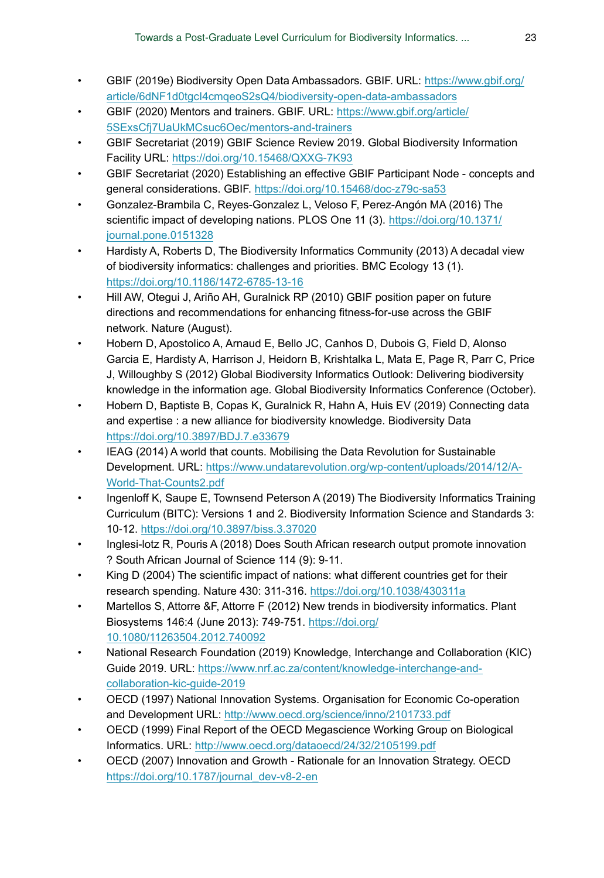- <span id="page-22-16"></span>• GBIF (2019e) Biodiversity Open Data Ambassadors. GBIF. URL: [https://www.gbif.org/](https://www.gbif.org/article/6dNF1d0tgcI4cmqeoS2sQ4/biodiversity-open-data-ambassadors) [article/6dNF1d0tgcI4cmqeoS2sQ4/biodiversity-open-data-ambassadors](https://www.gbif.org/article/6dNF1d0tgcI4cmqeoS2sQ4/biodiversity-open-data-ambassadors)
- <span id="page-22-17"></span>• GBIF (2020) Mentors and trainers. GBIF. URL: [https://www.gbif.org/article/](https://www.gbif.org/article/5SExsCfj7UaUkMCsuc6Oec/mentors-and-trainers) [5SExsCfj7UaUkMCsuc6Oec/mentors-and-trainers](https://www.gbif.org/article/5SExsCfj7UaUkMCsuc6Oec/mentors-and-trainers)
- <span id="page-22-3"></span>• GBIF Secretariat (2019) GBIF Science Review 2019. Global Biodiversity Information Facility URL:<https://doi.org/10.15468/QXXG-7K93>
- <span id="page-22-8"></span>• GBIF Secretariat (2020) Establishing an effective GBIF Participant Node - concepts and general considerations. GBIF. <https://doi.org/10.15468/doc-z79c-sa53>
- <span id="page-22-10"></span>• Gonzalez-Brambila C, Reyes-Gonzalez L, Veloso F, Perez-Angón MA (2016) The scientific impact of developing nations. PLOS One 11 (3). [https://doi.org/10.1371/](https://doi.org/10.1371/journal.pone.0151328) [journal.pone.0151328](https://doi.org/10.1371/journal.pone.0151328)
- <span id="page-22-0"></span>• Hardisty A, Roberts D, The Biodiversity Informatics Community (2013) A decadal view of biodiversity informatics: challenges and priorities. BMC Ecology 13 (1). <https://doi.org/10.1186/1472-6785-13-16>
- <span id="page-22-2"></span>• Hill AW, Otegui J, Ariño AH, Guralnick RP (2010) GBIF position paper on future directions and recommendations for enhancing fitness-for-use across the GBIF network. Nature (August).
- <span id="page-22-1"></span>• Hobern D, Apostolico A, Arnaud E, Bello JC, Canhos D, Dubois G, Field D, Alonso Garcia E, Hardisty A, Harrison J, Heidorn B, Krishtalka L, Mata E, Page R, Parr C, Price J, Willoughby S (2012) Global Biodiversity Informatics Outlook: Delivering biodiversity knowledge in the information age. Global Biodiversity Informatics Conference (October).
- <span id="page-22-9"></span>• Hobern D, Baptiste B, Copas K, Guralnick R, Hahn A, Huis EV (2019) Connecting data and expertise : a new alliance for biodiversity knowledge. Biodiversity Data <https://doi.org/10.3897/BDJ.7.e33679>
- <span id="page-22-7"></span>• IEAG (2014) A world that counts. Mobilising the Data Revolution for Sustainable Development. URL: [https://www.undatarevolution.org/wp-content/uploads/2014/12/A-](https://www.undatarevolution.org/wp-content/uploads/2014/12/A-World-That-Counts2.pdf)[World-That-Counts2.pdf](https://www.undatarevolution.org/wp-content/uploads/2014/12/A-World-That-Counts2.pdf)
- <span id="page-22-5"></span>• Ingenloff K, Saupe E, Townsend Peterson A (2019) The Biodiversity Informatics Training Curriculum (BITC): Versions 1 and 2. Biodiversity Information Science and Standards 3: 10‑12.<https://doi.org/10.3897/biss.3.37020>
- <span id="page-22-14"></span>• Inglesi-lotz R, Pouris A (2018) Does South African research output promote innovation ? South African Journal of Science 114 (9): 9‑11.
- <span id="page-22-15"></span>King D (2004) The scientific impact of nations: what different countries get for their research spending. Nature 430: 311‑316. <https://doi.org/10.1038/430311a>
- <span id="page-22-6"></span>• Martellos S, Attorre &F, Attorre F (2012) New trends in biodiversity informatics. Plant Biosystems 146:4 (June 2013): 749‑751. [https://doi.org/](https://doi.org/10.1080/11263504.2012.740092) [10.1080/11263504.2012.740092](https://doi.org/10.1080/11263504.2012.740092)
- <span id="page-22-11"></span>• National Research Foundation (2019) Knowledge, Interchange and Collaboration (KIC) Guide 2019. URL: [https://www.nrf.ac.za/content/knowledge-interchange-and](https://www.nrf.ac.za/content/knowledge-interchange-and-collaboration-kic-guide-2019)[collaboration-kic-guide-2019](https://www.nrf.ac.za/content/knowledge-interchange-and-collaboration-kic-guide-2019)
- <span id="page-22-12"></span>• OECD (1997) National Innovation Systems. Organisation for Economic Co-operation and Development URL: <http://www.oecd.org/science/inno/2101733.pdf>
- <span id="page-22-4"></span>• OECD (1999) Final Report of the OECD Megascience Working Group on Biological Informatics. URL: <http://www.oecd.org/dataoecd/24/32/2105199.pdf>
- <span id="page-22-13"></span>• OECD (2007) Innovation and Growth - Rationale for an Innovation Strategy. OECD [https://doi.org/10.1787/journal\\_dev-v8-2-en](https://doi.org/10.1787/journal_dev-v8-2-en)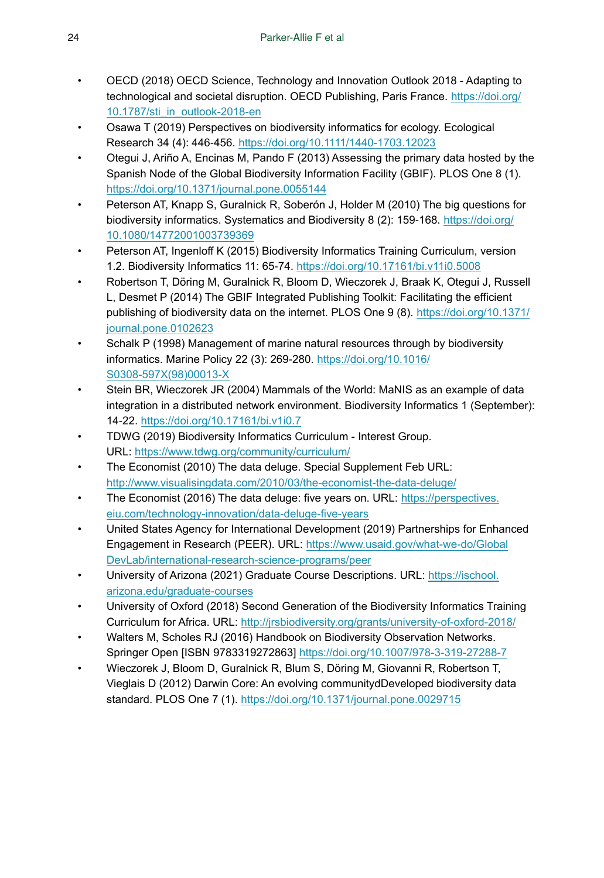- <span id="page-23-14"></span>• OECD (2018) OECD Science, Technology and Innovation Outlook 2018 - Adapting to technological and societal disruption. OECD Publishing, Paris France. [https://doi.org/](https://doi.org/10.1787/sti_in_outlook-2018-en) [10.1787/sti\\_in\\_outlook-2018-en](https://doi.org/10.1787/sti_in_outlook-2018-en)
- <span id="page-23-8"></span>• Osawa T (2019) Perspectives on biodiversity informatics for ecology. Ecological Research 34 (4): 446‑456. <https://doi.org/10.1111/1440-1703.12023>
- <span id="page-23-9"></span>• Otegui J, Ariño A, Encinas M, Pando F (2013) Assessing the primary data hosted by the Spanish Node of the Global Biodiversity Information Facility (GBIF). PLOS One 8 (1). <https://doi.org/10.1371/journal.pone.0055144>
- <span id="page-23-10"></span>• Peterson AT, Knapp S, Guralnick R, Soberón J, Holder M (2010) The big questions for biodiversity informatics. Systematics and Biodiversity 8 (2): 159-168. [https://doi.org/](https://doi.org/10.1080/14772001003739369) [10.1080/14772001003739369](https://doi.org/10.1080/14772001003739369)
- <span id="page-23-5"></span>• Peterson AT, Ingenloff K (2015) Biodiversity Informatics Training Curriculum, version 1.2. Biodiversity Informatics 11: 65‑74. <https://doi.org/10.17161/bi.v11i0.5008>
- <span id="page-23-3"></span>• Robertson T, Döring M, Guralnick R, Bloom D, Wieczorek J, Braak K, Otegui J, Russell L, Desmet P (2014) The GBIF Integrated Publishing Toolkit: Facilitating the efficient publishing of biodiversity data on the internet. PLOS One 9 (8). [https://doi.org/10.1371/](https://doi.org/10.1371/journal.pone.0102623) [journal.pone.0102623](https://doi.org/10.1371/journal.pone.0102623)
- <span id="page-23-0"></span>• Schalk P (1998) Management of marine natural resources through by biodiversity informatics. Marine Policy 22 (3): 269‑280. [https://doi.org/10.1016/](https://doi.org/10.1016/S0308-597X(98)00013-X) [S0308-597X\(98\)00013-X](https://doi.org/10.1016/S0308-597X(98)00013-X)
- <span id="page-23-2"></span>• Stein BR, Wieczorek JR (2004) Mammals of the World: MaNIS as an example of data integration in a distributed network environment. Biodiversity Informatics 1 (September): 14‑22.<https://doi.org/10.17161/bi.v1i0.7>
- <span id="page-23-15"></span>• TDWG (2019) Biodiversity Informatics Curriculum - Interest Group. URL:<https://www.tdwg.org/community/curriculum/>
- <span id="page-23-11"></span>• The Economist (2010) The data deluge. Special Supplement Feb URL: <http://www.visualisingdata.com/2010/03/the-economist-the-data-deluge/>
- <span id="page-23-12"></span>The Economist (2016) The data deluge: five years on. URL: [https://perspectives.](https://perspectives.eiu.com/technology-innovation/data-deluge-five-years) [eiu.com/technology-innovation/data-deluge-five-years](https://perspectives.eiu.com/technology-innovation/data-deluge-five-years)
- <span id="page-23-13"></span>• United States Agency for International Development (2019) Partnerships for Enhanced Engagement in Research (PEER). URL: [https://www.usaid.gov/what-we-do/Global](https://www.usaid.gov/what-we-do/GlobalDevLab/international-research-science-programs/peer) [DevLab/international-research-science-programs/peer](https://www.usaid.gov/what-we-do/GlobalDevLab/international-research-science-programs/peer)
- <span id="page-23-7"></span>University of Arizona (2021) Graduate Course Descriptions. URL: [https://ischool.](https://ischool.arizona.edu/graduate-courses) [arizona.edu/graduate-courses](https://ischool.arizona.edu/graduate-courses)
- <span id="page-23-6"></span>• University of Oxford (2018) Second Generation of the Biodiversity Informatics Training Curriculum for Africa. URL:<http://jrsbiodiversity.org/grants/university-of-oxford-2018/>
- <span id="page-23-1"></span>• Walters M, Scholes RJ (2016) Handbook on Biodiversity Observation Networks. Springer Open [ISBN 9783319272863] <https://doi.org/10.1007/978-3-319-27288-7>
- <span id="page-23-4"></span>• Wieczorek J, Bloom D, Guralnick R, Blum S, Döring M, Giovanni R, Robertson T, Vieglais D (2012) Darwin Core: An evolving communitydDeveloped biodiversity data standard. PLOS One 7 (1). <https://doi.org/10.1371/journal.pone.0029715>